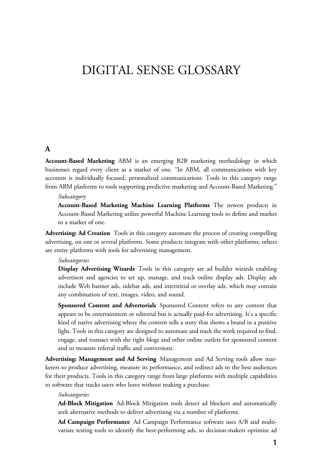## DIGITAL SENSE GLOSSARY

## **A**

**Account-Based Marketing** ABM is an emerging B2B marketing methodology in which businesses regard every client as a market of one. "In ABM, all communications with key accounts is individually focused, personalized communications. Tools in this category range from ABM platforms to tools supporting predictive marketing and Account-Based Marketing."

*Subcategory* **Account-Based Marketing Machine Learning Platforms** The newest products in Account-Based Marketing utilize powerful Machine Learning tools to define and market to a market of one.

**Advertising: Ad Creation** Tools in this category automate the process of creating compelling advertising, on one or several platforms. Some products integrate with other platforms; others are entire platforms with tools for advertising management.

*Subcategories* **Display Advertising Wizards** Tools in this category are ad builder wizards enabling advertisers and agencies to set up, manage, and track online display ads. Display ads include Web banner ads, sidebar ads, and interstitial or overlay ads, which may contain any combination of text, images, video, and sound.

**Sponsored Content and Advertorials** Sponsored Content refers to any content that appears to be entertainment or editorial but is actually paid-for advertising. It's a specific kind of native advertising where the content tells a story that shows a brand in a positive light. Tools in this category are designed to automate and track the work required to find, engage, and transact with the right blogs and other online outlets for sponsored content and to measure referral traffic and conversions.

**Advertising: Management and Ad Serving** Management and Ad Serving tools allow marketers to produce advertising, measure its performance, and redirect ads to the best audiences for their products. Tools in this category range from large platforms with multiple capabilities to software that tracks users who leave without making a purchase.

*Subcategories* **Ad-Block Mitigation** Ad-Block Mitigation tools detect ad blockers and automatically seek alternative methods to deliver advertising via a number of platforms.

**Ad Campaign Performance** Ad Campaign Performance software uses A/B and multivariate testing tools to identify the best-performing ads, so decision-makers optimize ad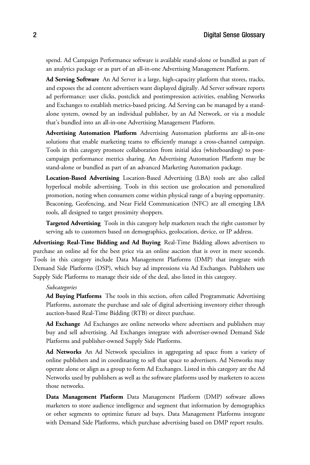spend. Ad Campaign Performance software is available stand-alone or bundled as part of an analytics package or as part of an all-in-one Advertising Management Platform.

**Ad Serving Software** An Ad Server is a large, high-capacity platform that stores, tracks, and exposes the ad content advertisers want displayed digitally. Ad Server software reports ad performance: user clicks, postclick and postimpression activities, enabling Networks and Exchanges to establish metrics-based pricing. Ad Serving can be managed by a standalone system, owned by an individual publisher, by an Ad Network, or via a module that's bundled into an all-in-one Advertising Management Platform.

**Advertising Automation Platform** Advertising Automation platforms are all-in-one solutions that enable marketing teams to efficiently manage a cross-channel campaign. Tools in this category promote collaboration from initial idea (whiteboarding) to postcampaign performance metrics sharing. An Advertising Automation Platform may be stand-alone or bundled as part of an advanced Marketing Automation package.

**Location-Based Advertising** Location-Based Advertising (LBA) tools are also called hyperlocal mobile advertising. Tools in this section use geolocation and personalized promotion, noting when consumers come within physical range of a buying opportunity. Beaconing, Geofencing, and Near Field Communication (NFC) are all emerging LBA tools, all designed to target proximity shoppers.

**Targeted Advertising** Tools in this category help marketers reach the right customer by serving ads to customers based on demographics, geolocation, device, or IP address.

**Advertising: Real-Time Bidding and Ad Buying** Real-Time Bidding allows advertisers to purchase an online ad for the best price via an online auction that is over in mere seconds. Tools in this category include Data Management Platforms (DMP) that integrate with Demand Side Platforms (DSP), which buy ad impressions via Ad Exchanges. Publishers use Supply Side Platforms to manage their side of the deal, also listed in this category.

*Subcategories* **Ad Buying Platforms** The tools in this section, often called Programmatic Advertising Platforms, automate the purchase and sale of digital advertising inventory either through auction-based Real-Time Bidding (RTB) or direct purchase.

**Ad Exchange** Ad Exchanges are online networks where advertisers and publishers may buy and sell advertising. Ad Exchanges integrate with advertiser-owned Demand Side Platforms and publisher-owned Supply Side Platforms.

**Ad Networks** An Ad Network specializes in aggregating ad space from a variety of online publishers and in coordinating to sell that space to advertisers. Ad Networks may operate alone or align as a group to form Ad Exchanges. Listed in this category are the Ad Networks used by publishers as well as the software platforms used by marketers to access those networks.

**Data Management Platform** Data Management Platform (DMP) software allows marketers to store audience intelligence and segment that information by demographics or other segments to optimize future ad buys. Data Management Platforms integrate with Demand Side Platforms, which purchase advertising based on DMP report results.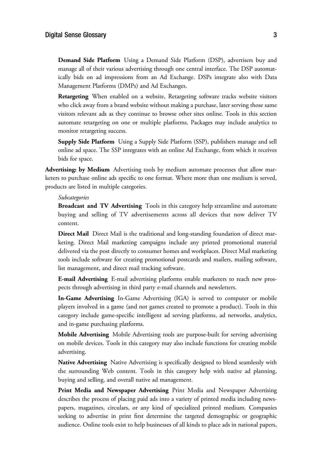**Demand Side Platform** Using a Demand Side Platform (DSP), advertisers buy and manage all of their various advertising through one central interface. The DSP automatically bids on ad impressions from an Ad Exchange. DSPs integrate also with Data Management Platforms (DMPs) and Ad Exchanges.

**Retargeting** When enabled on a website, Retargeting software tracks website visitors who click away from a brand website without making a purchase, later serving those same visitors relevant ads as they continue to browse other sites online. Tools in this section automate retargeting on one or multiple platforms. Packages may include analytics to monitor retargeting success.

**Supply Side Platform** Using a Supply Side Platform (SSP), publishers manage and sell online ad space. The SSP integrates with an online Ad Exchange, from which it receives bids for space.

**Advertising: by Medium** Advertising tools by medium automate processes that allow marketers to purchase online ads specific to one format. Where more than one medium is served, products are listed in multiple categories.

*Subcategories* **Broadcast and TV Advertising** Tools in this category help streamline and automate buying and selling of TV advertisements across all devices that now deliver TV content.

**Direct Mail** Direct Mail is the traditional and long-standing foundation of direct marketing. Direct Mail marketing campaigns include any printed promotional material delivered via the post directly to consumer homes and workplaces. Direct Mail marketing tools include software for creating promotional postcards and mailers, mailing software, list management, and direct mail tracking software.

**E-mail Advertising** E-mail advertising platforms enable marketers to reach new prospects through advertising in third party e-mail channels and newsletters.

**In-Game Advertising** In-Game Advertising (IGA) is served to computer or mobile players involved in a game (and not games created to promote a product). Tools in this category include game-specific intelligent ad serving platforms, ad networks, analytics, and in-game purchasing platforms.

**Mobile Advertising** Mobile Advertising tools are purpose-built for serving advertising on mobile devices. Tools in this category may also include functions for creating mobile advertising.

**Native Advertising** Native Advertising is specifically designed to blend seamlessly with the surrounding Web content. Tools in this category help with native ad planning, buying and selling, and overall native ad management.

**Print Media and Newspaper Advertising** Print Media and Newspaper Advertising describes the process of placing paid ads into a variety of printed media including newspapers, magazines, circulars, or any kind of specialized printed medium. Companies seeking to advertise in print first determine the targeted demographic or geographic audience. Online tools exist to help businesses of all kinds to place ads in national papers,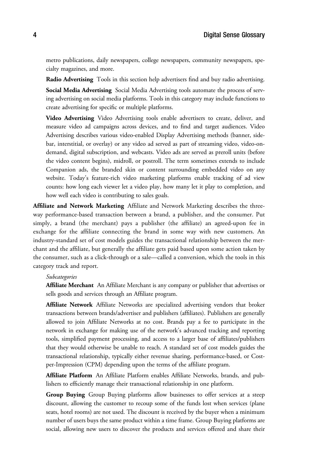metro publications, daily newspapers, college newspapers, community newspapers, specialty magazines, and more.

**Radio Advertising** Tools in this section help advertisers find and buy radio advertising.

**Social Media Advertising** Social Media Advertising tools automate the process of serving advertising on social media platforms. Tools in this category may include functions to create advertising for specific or multiple platforms.

**Video Advertising** Video Advertising tools enable advertisers to create, deliver, and measure video ad campaigns across devices, and to find and target audiences. Video Advertising describes various video-enabled Display Advertising methods (banner, sidebar, interstitial, or overlay) or any video ad served as part of streaming video, video-ondemand, digital subscription, and webcasts. Video ads are served as preroll units (before the video content begins), midroll, or postroll. The term sometimes extends to include Companion ads, the branded skin or content surrounding embedded video on any website. Today's feature-rich video marketing platforms enable tracking of ad view counts: how long each viewer let a video play, how many let it play to completion, and how well each video is contributing to sales goals.

**Affiliate and Network Marketing** Affiliate and Network Marketing describes the threeway performance-based transaction between a brand, a publisher, and the consumer. Put simply, a brand (the merchant) pays a publisher (the affiliate) an agreed-upon fee in exchange for the affiliate connecting the brand in some way with new customers. An industry-standard set of cost models guides the transactional relationship between the merchant and the affiliate, but generally the affiliate gets paid based upon some action taken by the consumer, such as a click-through or a sale—called a conversion, which the tools in this category track and report.

*Subcategories* **Affiliate Merchant** An Affiliate Merchant is any company or publisher that advertises or sells goods and services through an Affiliate program.

**Affiliate Network** Affiliate Networks are specialized advertising vendors that broker transactions between brands/advertiser and publishers (affiliates). Publishers are generally allowed to join Affiliate Networks at no cost. Brands pay a fee to participate in the network in exchange for making use of the network's advanced tracking and reporting tools, simplified payment processing, and access to a larger base of affiliates/publishers that they would otherwise be unable to reach. A standard set of cost models guides the transactional relationship, typically either revenue sharing, performance-based, or Costper-Impression (CPM) depending upon the terms of the affiliate program.

**Affiliate Platform** An Affiliate Platform enables Affiliate Networks, brands, and publishers to efficiently manage their transactional relationship in one platform.

**Group Buying** Group Buying platforms allow businesses to offer services at a steep discount, allowing the customer to recoup some of the funds lost when services (plane seats, hotel rooms) are not used. The discount is received by the buyer when a minimum number of users buys the same product within a time frame. Group Buying platforms are social, allowing new users to discover the products and services offered and share their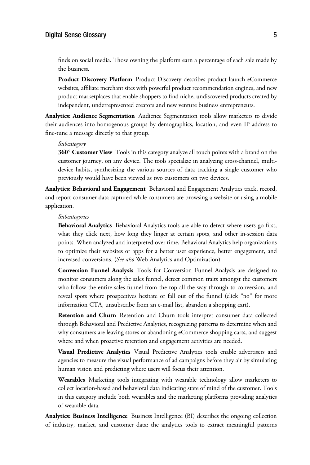## $J<sub>0</sub>$  and  $J<sub>0</sub>$  and  $J<sub>0</sub>$  and  $J<sub>0</sub>$  and  $J<sub>0</sub>$  and  $J<sub>0</sub>$  and  $J<sub>0</sub>$  and  $J<sub>0</sub>$  and  $J<sub>0</sub>$  and  $J<sub>0</sub>$  and  $J<sub>0</sub>$  and  $J<sub>0</sub>$  and  $J<sub>0</sub>$  and  $J<sub>0</sub>$  and  $J<sub>0</sub>$

finds on social media. Those owning the platform earn a percentage of each sale made by the business.

**Product Discovery Platform** Product Discovery describes product launch eCommerce websites, affiliate merchant sites with powerful product recommendation engines, and new product marketplaces that enable shoppers to find niche, undiscovered products created by independent, underrepresented creators and new venture business entrepreneurs.

**Analytics: Audience Segmentation** Audience Segmentation tools allow marketers to divide their audiences into homogenous groups by demographics, location, and even IP address to fine-tune a message directly to that group.

*Subcategory* **360° Customer View** Tools in this category analyze all touch points with a brand on the customer journey, on any device. The tools specialize in analyzing cross-channel, multidevice habits, synthesizing the various sources of data tracking a single customer who previously would have been viewed as two customers on two devices.

**Analytics: Behavioral and Engagement** Behavioral and Engagement Analytics track, record, and report consumer data captured while consumers are browsing a website or using a mobile application.

*Subcategories* **Behavioral Analytics** Behavioral Analytics tools are able to detect where users go first, what they click next, how long they linger at certain spots, and other in-session data points. When analyzed and interpreted over time, Behavioral Analytics help organizations to optimize their websites or apps for a better user experience, better engagement, and increased conversions. (*See also* Web Analytics and Optimization)

**Conversion Funnel Analysis** Tools for Conversion Funnel Analysis are designed to monitor consumers along the sales funnel, detect common traits amongst the customers who follow the entire sales funnel from the top all the way through to conversion, and reveal spots where prospectives hesitate or fall out of the funnel (click "no" for more information CTA, unsubscribe from an e-mail list, abandon a shopping cart).

**Retention and Churn** Retention and Churn tools interpret consumer data collected through Behavioral and Predictive Analytics, recognizing patterns to determine when and why consumers are leaving stores or abandoning eCommerce shopping carts, and suggest where and when proactive retention and engagement activities are needed.

**Visual Predictive Analytics** Visual Predictive Analytics tools enable advertisers and agencies to measure the visual performance of ad campaigns before they air by simulating human vision and predicting where users will focus their attention.

**Wearables** Marketing tools integrating with wearable technology allow marketers to collect location-based and behavioral data indicating state of mind of the customer. Tools in this category include both wearables and the marketing platforms providing analytics of wearable data.

**Analytics: Business Intelligence** Business Intelligence (BI) describes the ongoing collection of industry, market, and customer data; the analytics tools to extract meaningful patterns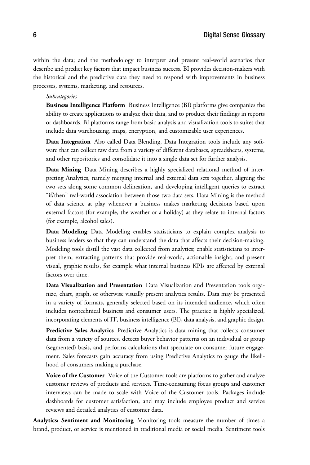within the data; and the methodology to interpret and present real-world scenarios that describe and predict key factors that impact business success. BI provides decision-makers with the historical and the predictive data they need to respond with improvements in business processes, systems, marketing, and resources.

*Subcategories* **Business Intelligence Platform** Business Intelligence (BI) platforms give companies the ability to create applications to analyze their data, and to produce their findings in reports or dashboards. BI platforms range from basic analysis and visualization tools to suites that include data warehousing, maps, encryption, and customizable user experiences.

**Data Integration** Also called Data Blending, Data Integration tools include any software that can collect raw data from a variety of different databases, spreadsheets, systems, and other repositories and consolidate it into a single data set for further analysis.

**Data Mining** Data Mining describes a highly specialized relational method of interpreting Analytics, namely merging internal and external data sets together, aligning the two sets along some common delineation, and developing intelligent queries to extract "if/then" real-world association between those two data sets. Data Mining is the method of data science at play whenever a business makes marketing decisions based upon external factors (for example, the weather or a holiday) as they relate to internal factors (for example, alcohol sales).

**Data Modeling** Data Modeling enables statisticians to explain complex analysis to business leaders so that they can understand the data that affects their decision-making. Modeling tools distill the vast data collected from analytics; enable statisticians to interpret them, extracting patterns that provide real-world, actionable insight; and present visual, graphic results, for example what internal business KPIs are affected by external factors over time.

**Data Visualization and Presentation** Data Visualization and Presentation tools organize, chart, graph, or otherwise visually present analytics results. Data may be presented in a variety of formats, generally selected based on its intended audience, which often includes nontechnical business and consumer users. The practice is highly specialized, incorporating elements of IT, business intelligence (BI), data analysis, and graphic design.

**Predictive Sales Analytics** Predictive Analytics is data mining that collects consumer data from a variety of sources, detects buyer behavior patterns on an individual or group (segmented) basis, and performs calculations that speculate on consumer future engagement. Sales forecasts gain accuracy from using Predictive Analytics to gauge the likelihood of consumers making a purchase.

Voice of the Customer Voice of the Customer tools are platforms to gather and analyze customer reviews of products and services. Time-consuming focus groups and customer interviews can be made to scale with Voice of the Customer tools. Packages include dashboards for customer satisfaction, and may include employee product and service reviews and detailed analytics of customer data.

**Analytics: Sentiment and Monitoring** Monitoring tools measure the number of times a brand, product, or service is mentioned in traditional media or social media. Sentiment tools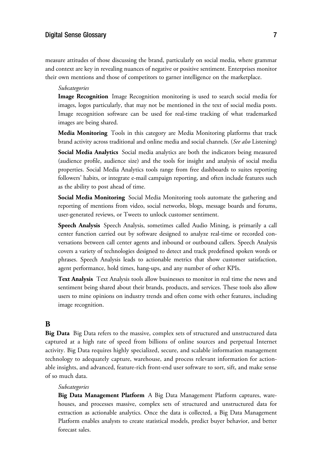## $J^{\text{max}}$  Sense Glossary 7.

measure attitudes of those discussing the brand, particularly on social media, where grammar and context are key in revealing nuances of negative or positive sentiment. Enterprises monitor their own mentions and those of competitors to garner intelligence on the marketplace.

*Subcategories* **Image Recognition** Image Recognition monitoring is used to search social media for images, logos particularly, that may not be mentioned in the text of social media posts. Image recognition software can be used for real-time tracking of what trademarked images are being shared.

**Media Monitoring** Tools in this category are Media Monitoring platforms that track brand activity across traditional and online media and social channels. (*See also* Listening)

**Social Media Analytics** Social media analytics are both the indicators being measured (audience profile, audience size) and the tools for insight and analysis of social media properties. Social Media Analytics tools range from free dashboards to suites reporting followers' habits, or integrate e-mail campaign reporting, and often include features such as the ability to post ahead of time.

**Social Media Monitoring** Social Media Monitoring tools automate the gathering and reporting of mentions from video, social networks, blogs, message boards and forums, user-generated reviews, or Tweets to unlock customer sentiment.

**Speech Analysis** Speech Analysis, sometimes called Audio Mining, is primarily a call center function carried out by software designed to analyze real-time or recorded conversations between call center agents and inbound or outbound callers. Speech Analysis covers a variety of technologies designed to detect and track predefined spoken words or phrases. Speech Analysis leads to actionable metrics that show customer satisfaction, agent performance, hold times, hang-ups, and any number of other KPIs.

**Text Analysis** Text Analysis tools allow businesses to monitor in real time the news and sentiment being shared about their brands, products, and services. These tools also allow users to mine opinions on industry trends and often come with other features, including image recognition.

## **B**

**Big Data** Big Data refers to the massive, complex sets of structured and unstructured data captured at a high rate of speed from billions of online sources and perpetual Internet activity. Big Data requires highly specialized, secure, and scalable information management technology to adequately capture, warehouse, and process relevant information for actionable insights, and advanced, feature-rich front-end user software to sort, sift, and make sense of so much data.

*Subcategories* **Big Data Management Platform** A Big Data Management Platform captures, warehouses, and processes massive, complex sets of structured and unstructured data for extraction as actionable analytics. Once the data is collected, a Big Data Management Platform enables analysts to create statistical models, predict buyer behavior, and better forecast sales.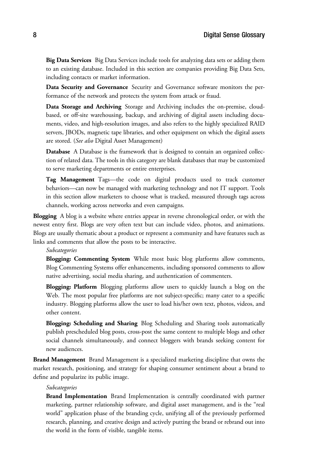**Big Data Services** Big Data Services include tools for analyzing data sets or adding them to an existing database. Included in this section are companies providing Big Data Sets, including contacts or market information.

**Data Security and Governance** Security and Governance software monitors the performance of the network and protects the system from attack or fraud.

**Data Storage and Archiving** Storage and Archiving includes the on-premise, cloudbased, or off-site warehousing, backup, and archiving of digital assets including documents, video, and high-resolution images, and also refers to the highly specialized RAID servers, JBODs, magnetic tape libraries, and other equipment on which the digital assets are stored. (*See also* Digital Asset Management)

**Database** A Database is the framework that is designed to contain an organized collection of related data. The tools in this category are blank databases that may be customized to serve marketing departments or entire enterprises.

**Tag Management** Tags—the code on digital products used to track customer behaviors—can now be managed with marketing technology and not IT support. Tools in this section allow marketers to choose what is tracked, measured through tags across channels, working across networks and even campaigns.

**Blogging** A blog is a website where entries appear in reverse chronological order, or with the newest entry first. Blogs are very often text but can include video, photos, and animations. Blogs are usually thematic about a product or represent a community and have features such as links and comments that allow the posts to be interactive.

*Subcategories* **Blogging: Commenting System** While most basic blog platforms allow comments, Blog Commenting Systems offer enhancements, including sponsored comments to allow native advertising, social media sharing, and authentication of commenters.

**Blogging: Platform** Blogging platforms allow users to quickly launch a blog on the Web. The most popular free platforms are not subject-specific; many cater to a specific industry. Blogging platforms allow the user to load his/her own text, photos, videos, and other content.

**Blogging: Scheduling and Sharing** Blog Scheduling and Sharing tools automatically publish prescheduled blog posts, cross-post the same content to multiple blogs and other social channels simultaneously, and connect bloggers with brands seeking content for new audiences.

**Brand Management** Brand Management is a specialized marketing discipline that owns the market research, positioning, and strategy for shaping consumer sentiment about a brand to define and popularize its public image.

*Subcategories* **Brand Implementation** Brand Implementation is centrally coordinated with partner marketing, partner relationship software, and digital asset management, and is the "real world" application phase of the branding cycle, unifying all of the previously performed research, planning, and creative design and actively putting the brand or rebrand out into the world in the form of visible, tangible items.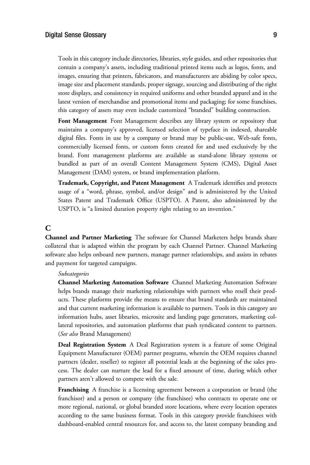Tools in this category include directories, libraries, style guides, and other repositories that contain a company's assets, including traditional printed items such as logos, fonts, and images, ensuring that printers, fabricators, and manufacturers are abiding by color specs, image size and placement standards, proper signage, sourcing and distributing of the right store displays, and consistency in required uniforms and other branded apparel and in the latest version of merchandise and promotional items and packaging; for some franchises, this category of assets may even include customized "branded" building construction.

**Font Management** Font Management describes any library system or repository that maintains a company's approved, licensed selection of typeface in indexed, shareable digital files. Fonts in use by a company or brand may be public-use, Web-safe fonts, commercially licensed fonts, or custom fonts created for and used exclusively by the brand. Font management platforms are available as stand-alone library systems or bundled as part of an overall Content Management System (CMS), Digital Asset Management (DAM) system, or brand implementation platform.

**Trademark, Copyright, and Patent Management** A Trademark identifies and protects usage of a "word, phrase, symbol, and/or design" and is administered by the United States Patent and Trademark Office (USPTO). A Patent, also administered by the USPTO, is "a limited duration property right relating to an invention."

## **C**

**Channel and Partner Marketing** The software for Channel Marketers helps brands share collateral that is adapted within the program by each Channel Partner. Channel Marketing software also helps onboard new partners, manage partner relationships, and assists in rebates and payment for targeted campaigns.

*Subcategories* **Channel Marketing Automation Software** Channel Marketing Automation Software helps brands manage their marketing relationships with partners who resell their products. These platforms provide the means to ensure that brand standards are maintained and that current marketing information is available to partners. Tools in this category are information hubs, asset libraries, microsite and landing page generators, marketing collateral repositories, and automation platforms that push syndicated content to partners. (*See also* Brand Management)

**Deal Registration System** A Deal Registration system is a feature of some Original Equipment Manufacturer (OEM) partner programs, wherein the OEM requires channel partners (dealer, reseller) to register all potential leads at the beginning of the sales process. The dealer can nurture the lead for a fixed amount of time, during which other partners aren't allowed to compete with the sale.

**Franchising** A franchise is a licensing agreement between a corporation or brand (the franchisor) and a person or company (the franchisee) who contracts to operate one or more regional, national, or global branded store locations, where every location operates according to the same business format. Tools in this category provide franchisees with dashboard-enabled central resources for, and access to, the latest company branding and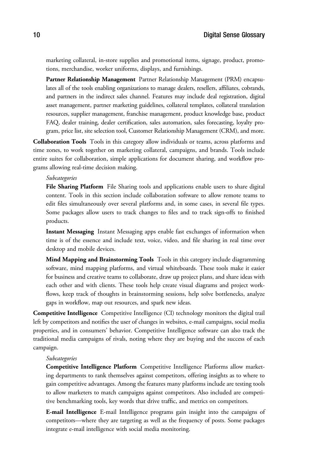marketing collateral, in-store supplies and promotional items, signage, product, promotions, merchandise, worker uniforms, displays, and furnishings.

**Partner Relationship Management** Partner Relationship Management (PRM) encapsulates all of the tools enabling organizations to manage dealers, resellers, affiliates, cobrands, and partners in the indirect sales channel. Features may include deal registration, digital asset management, partner marketing guidelines, collateral templates, collateral translation resources, supplier management, franchise management, product knowledge base, product FAQ, dealer training, dealer certification, sales automation, sales forecasting, loyalty program, price list, site selection tool, Customer Relationship Management (CRM), and more.

**Collaboration Tools** Tools in this category allow individuals or teams, across platforms and time zones, to work together on marketing collateral, campaigns, and brands. Tools include entire suites for collaboration, simple applications for document sharing, and workflow programs allowing real-time decision making.

*Subcategories* **File Sharing Platform** File Sharing tools and applications enable users to share digital content. Tools in this section include collaboration software to allow remote teams to edit files simultaneously over several platforms and, in some cases, in several file types. Some packages allow users to track changes to files and to track sign-offs to finished products.

**Instant Messaging** Instant Messaging apps enable fast exchanges of information when time is of the essence and include text, voice, video, and file sharing in real time over desktop and mobile devices.

**Mind Mapping and Brainstorming Tools** Tools in this category include diagramming software, mind mapping platforms, and virtual whiteboards. These tools make it easier for business and creative teams to collaborate, draw up project plans, and share ideas with each other and with clients. These tools help create visual diagrams and project workflows, keep track of thoughts in brainstorming sessions, help solve bottlenecks, analyze gaps in workflow, map out resources, and spark new ideas.

**Competitive Intelligence** Competitive Intelligence (CI) technology monitors the digital trail left by competitors and notifies the user of changes in websites, e-mail campaigns, social media properties, and in consumers' behavior. Competitive Intelligence software can also track the traditional media campaigns of rivals, noting where they are buying and the success of each campaign.

*Subcategories* **Competitive Intelligence Platform** Competitive Intelligence Platforms allow marketing departments to rank themselves against competitors, offering insights as to where to gain competitive advantages. Among the features many platforms include are testing tools to allow marketers to match campaigns against competitors. Also included are competitive benchmarking tools, key words that drive traffic, and metrics on competitors.

**E-mail Intelligence** E-mail Intelligence programs gain insight into the campaigns of competitors—where they are targeting as well as the frequency of posts. Some packages integrate e-mail intelligence with social media monitoring.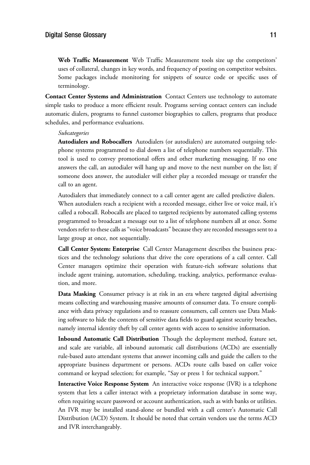**Web Traffic Measurement** Web Traffic Measurement tools size up the competitors' uses of collateral, changes in key words, and frequency of posting on competitor websites. Some packages include monitoring for snippets of source code or specific uses of terminology.

**Contact Center Systems and Administration** Contact Centers use technology to automate simple tasks to produce a more efficient result. Programs serving contact centers can include automatic dialers, programs to funnel customer biographies to callers, programs that produce schedules, and performance evaluations.

*Subcategories* **Autodialers and Robocallers** Autodialers (or autodialers) are automated outgoing telephone systems programmed to dial down a list of telephone numbers sequentially. This tool is used to convey promotional offers and other marketing messaging. If no one answers the call, an autodialer will hang up and move to the next number on the list; if someone does answer, the autodialer will either play a recorded message or transfer the call to an agent.

Autodialers that immediately connect to a call center agent are called predictive dialers. When autodialers reach a recipient with a recorded message, either live or voice mail, it's called a robocall. Robocalls are placed to targeted recipients by automated calling systems programmed to broadcast a message out to a list of telephone numbers all at once. Some vendors refer to these calls as"voice broadcasts" because they are recorded messages sent to a large group at once, not sequentially.

**Call Center System: Enterprise** Call Center Management describes the business practices and the technology solutions that drive the core operations of a call center. Call Center managers optimize their operation with feature-rich software solutions that include agent training, automation, scheduling, tracking, analytics, performance evaluation, and more.

**Data Masking** Consumer privacy is at risk in an era where targeted digital advertising means collecting and warehousing massive amounts of consumer data. To ensure compliance with data privacy regulations and to reassure consumers, call centers use Data Masking software to hide the contents of sensitive data fields to guard against security breaches, namely internal identity theft by call center agents with access to sensitive information.

**Inbound Automatic Call Distribution** Though the deployment method, feature set, and scale are variable, all inbound automatic call distributions (ACDs) are essentially rule-based auto attendant systems that answer incoming calls and guide the callers to the appropriate business department or persons. ACDs route calls based on caller voice command or keypad selection; for example, "Say or press 1 for technical support."

**Interactive Voice Response System** An interactive voice response (IVR) is a telephone system that lets a caller interact with a proprietary information database in some way, often requiring secure password or account authentication, such as with banks or utilities. An IVR may be installed stand-alone or bundled with a call center's Automatic Call Distribution (ACD) System. It should be noted that certain vendors use the terms ACD and IVR interchangeably.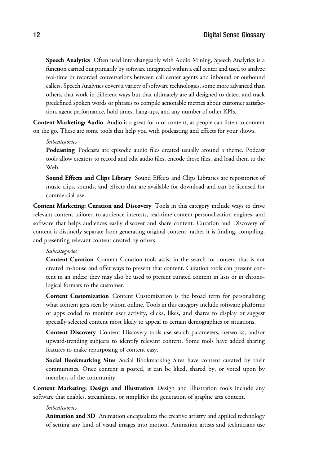**Speech Analytics** Often used interchangeably with Audio Mining, Speech Analytics is a function carried out primarily by software integrated within a call center and used to analyze real-time or recorded conversations between call center agents and inbound or outbound callers. Speech Analytics covers a variety of software technologies, some more advanced than others, that work in different ways but that ultimately are all designed to detect and track predefined spoken words or phrases to compile actionable metrics about customer satisfaction, agent performance, hold times, hang-ups, and any number of other KPIs.

**Content Marketing: Audio** Audio is a great form of content, as people can listen to content on the go. These are some tools that help you with podcasting and effects for your shows.

*Subcategories* **Podcasting** Podcasts are episodic audio files created usually around a theme. Podcast tools allow creators to record and edit audio files, encode those files, and load them to the Web.

**Sound Effects and Clips Library** Sound Effects and Clips Libraries are repositories of music clips, sounds, and effects that are available for download and can be licensed for commercial use.

**Content Marketing: Curation and Discovery** Tools in this category include ways to drive relevant content tailored to audience interests, real-time content personalization engines, and software that helps audiences easily discover and share content. Curation and Discovery of content is distinctly separate from generating original content; rather it is finding, compiling, and presenting relevant content created by others.

**Content Curation** Content Curation tools assist in the search for content that is not created in-house and offer ways to present that content. Curation tools can present content in an index; they may also be used to present curated content in lists or in chronological formats to the customer.

**Content Customization** Content Customization is the broad term for personalizing what content gets seen by whom online. Tools in this category include software platforms or apps coded to monitor user activity, clicks, likes, and shares to display or suggest specially selected content most likely to appeal to certain demographics or situations.

**Content Discovery** Content Discovery tools use search parameters, networks, and/or upward-trending subjects to identify relevant content. Some tools have added sharing features to make repurposing of content easy.

**Social Bookmarking Sites** Social Bookmarking Sites have content curated by their communities. Once content is posted, it can be liked, shared by, or voted upon by members of the community.

**Content Marketing: Design and Illustration** Design and Illustration tools include any software that enables, streamlines, or simplifies the generation of graphic arts content.

*Subcategories* **Animation and 3D** Animation encapsulates the creative artistry and applied technology of setting any kind of visual images into motion. Animation artists and technicians use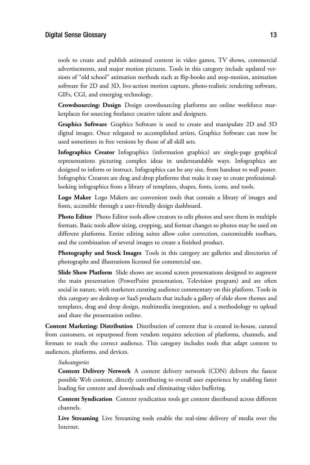tools to create and publish animated content in video games, TV shows, commercial advertisements, and major motion pictures. Tools in this category include updated versions of "old school" animation methods such as flip-books and stop-motion, animation software for 2D and 3D, live-action motion capture, photo-realistic rendering software, GIFs, CGI, and emerging technology.

**Crowdsourcing: Design** Design crowdsourcing platforms are online workforce marketplaces for sourcing freelance creative talent and designers.

**Graphics Software** Graphics Software is used to create and manipulate 2D and 3D digital images. Once relegated to accomplished artists, Graphics Software can now be used sometimes in free versions by those of all skill sets.

**Infographics Creator** Infographics (information graphics) are single-page graphical representations picturing complex ideas in understandable ways. Infographics are designed to inform or instruct. Infographics can be any size, from handout to wall poster. Infographic Creators are drag and drop platforms that make it easy to create professionallooking infographics from a library of templates, shapes, fonts, icons, and tools.

**Logo Maker** Logo Makers are convenient tools that contain a library of images and fonts, accessible through a user-friendly design dashboard.

**Photo Editor** Photo Editor tools allow creators to edit photos and save them in multiple formats. Basic tools allow sizing, cropping, and format changes so photos may be used on different platforms. Entire editing suites allow color correction, customizable toolbars, and the combination of several images to create a finished product.

**Photography and Stock Images** Tools in this category are galleries and directories of photographs and illustrations licensed for commercial use.

**Slide Show Platform** Slide shows are second screen presentations designed to augment the main presentation (PowerPoint presentation, Television program) and are often social in nature, with marketers curating audience commentary on this platform. Tools in this category are desktop or SaaS products that include a gallery of slide show themes and templates, drag and drop design, multimedia integration, and a methodology to upload and share the presentation online.

**Content Marketing: Distribution** Distribution of content that is created in-house, curated from customers, or repurposed from vendors requires selection of platforms, channels, and formats to reach the correct audience. This category includes tools that adapt content to audiences, platforms, and devices.

*Subcategories* **Content Delivery Network** A content delivery network (CDN) delivers the fastest possible Web content, directly contributing to overall user experience by enabling faster loading for content and downloads and eliminating video buffering.

**Content Syndication** Content syndication tools get content distributed across different channels.

**Live Streaming** Live Streaming tools enable the real-time delivery of media over the Internet.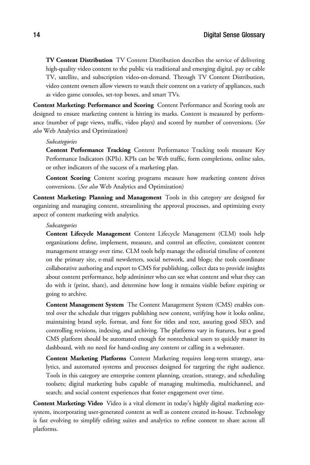**TV Content Distribution** TV Content Distribution describes the service of delivering high-quality video content to the public via traditional and emerging digital, pay or cable TV, satellite, and subscription video-on-demand. Through TV Content Distribution, video content owners allow viewers to watch their content on a variety of appliances, such as video game consoles, set-top boxes, and smart TVs.

**Content Marketing: Performance and Scoring** Content Performance and Scoring tools are designed to ensure marketing content is hitting its marks. Content is measured by performance (number of page views, traffic, video plays) and scored by number of conversions. (*See also* Web Analytics and Optimization)

*Subcategories* **Content Performance Tracking** Content Performance Tracking tools measure Key Performance Indicators (KPIs). KPIs can be Web traffic, form completions, online sales, or other indicators of the success of a marketing plan.

**Content Scoring** Content scoring programs measure how marketing content drives conversions. (*See also* Web Analytics and Optimization)

**Content Marketing: Planning and Management** Tools in this category are designed for organizing and managing content, streamlining the approval processes, and optimizing every aspect of content marketing with analytics.

*Subcategories* **Content Lifecycle Management** Content Lifecycle Management (CLM) tools help organizations define, implement, measure, and control an effective, consistent content management strategy over time. CLM tools help manage the editorial timeline of content on the primary site, e-mail newsletters, social network, and blogs; the tools coordinate collaborative authoring and export to CMS for publishing, collect data to provide insights about content performance, help administer who can see what content and what they can do with it (print, share), and determine how long it remains visible before expiring or going to archive.

**Content Management System** The Content Management System (CMS) enables control over the schedule that triggers publishing new content, verifying how it looks online, maintaining brand style, format, and font for titles and text, assuring good SEO, and controlling revisions, indexing, and archiving. The platforms vary in features, but a good CMS platform should be automated enough for nontechnical users to quickly master its dashboard, with no need for hand-coding any content or calling in a webmaster.

**Content Marketing Platforms** Content Marketing requires long-term strategy, analytics, and automated systems and processes designed for targeting the right audience. Tools in this category are enterprise content planning, creation, strategy, and scheduling toolsets; digital marketing hubs capable of managing multimedia, multichannel, and search; and social content experiences that foster engagement over time.

**Content Marketing: Video** Video is a vital element in today's highly digital marketing ecosystem, incorporating user-generated content as well as content created in-house. Technology is fast evolving to simplify editing suites and analytics to refine content to share across all platforms.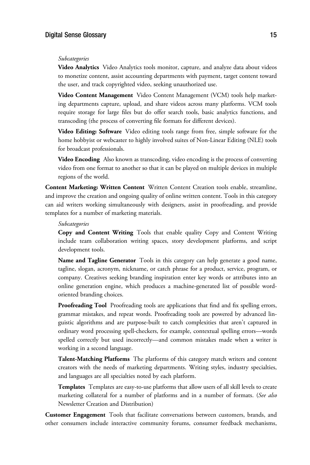*Subcategories* **Video Analytics** Video Analytics tools monitor, capture, and analyze data about videos to monetize content, assist accounting departments with payment, target content toward the user, and track copyrighted video, seeking unauthorized use.

**Video Content Management** Video Content Management (VCM) tools help marketing departments capture, upload, and share videos across many platforms. VCM tools require storage for large files but do offer search tools, basic analytics functions, and transcoding (the process of converting file formats for different devices).

**Video Editing: Software** Video editing tools range from free, simple software for the home hobbyist or webcaster to highly involved suites of Non-Linear Editing (NLE) tools for broadcast professionals.

**Video Encoding** Also known as transcoding, video encoding is the process of converting video from one format to another so that it can be played on multiple devices in multiple regions of the world.

**Content Marketing: Written Content** Written Content Creation tools enable, streamline, and improve the creation and ongoing quality of online written content. Tools in this category can aid writers working simultaneously with designers, assist in proofreading, and provide templates for a number of marketing materials.

*Subcategories* **Copy and Content Writing** Tools that enable quality Copy and Content Writing include team collaboration writing spaces, story development platforms, and script development tools.

**Name and Tagline Generator** Tools in this category can help generate a good name, tagline, slogan, acronym, nickname, or catch phrase for a product, service, program, or company. Creatives seeking branding inspiration enter key words or attributes into an online generation engine, which produces a machine-generated list of possible wordoriented branding choices.

**Proofreading Tool** Proofreading tools are applications that find and fix spelling errors, grammar mistakes, and repeat words. Proofreading tools are powered by advanced linguistic algorithms and are purpose-built to catch complexities that aren't captured in ordinary word processing spell-checkers, for example, contextual spelling errors—words spelled correctly but used incorrectly—and common mistakes made when a writer is working in a second language.

**Talent-Matching Platforms** The platforms of this category match writers and content creators with the needs of marketing departments. Writing styles, industry specialties, and languages are all specialties noted by each platform.

**Templates** Templates are easy-to-use platforms that allow users of all skill levels to create marketing collateral for a number of platforms and in a number of formats. (*See also* Newsletter Creation and Distribution)

**Customer Engagement** Tools that facilitate conversations between customers, brands, and other consumers include interactive community forums, consumer feedback mechanisms,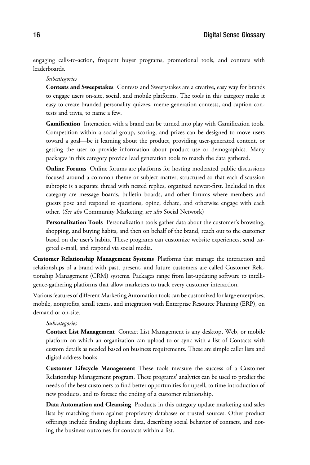engaging calls-to-action, frequent buyer programs, promotional tools, and contests with leaderboards.

*Subcategories* **Contests and Sweepstakes** Contests and Sweepstakes are a creative, easy way for brands to engage users on-site, social, and mobile platforms. The tools in this category make it easy to create branded personality quizzes, meme generation contests, and caption contests and trivia, to name a few.

Gamification Interaction with a brand can be turned into play with Gamification tools. Competition within a social group, scoring, and prizes can be designed to move users toward a goal—be it learning about the product, providing user-generated content, or getting the user to provide information about product use or demographics. Many packages in this category provide lead generation tools to match the data gathered.

**Online Forums** Online forums are platforms for hosting moderated public discussions focused around a common theme or subject matter, structured so that each discussion subtopic is a separate thread with nested replies, organized newest-first. Included in this category are message boards, bulletin boards, and other forums where members and guests pose and respond to questions, opine, debate, and otherwise engage with each other. (*See also* Community Marketing; *see also* Social Network)

Personalization Tools Personalization tools gather data about the customer's browsing, shopping, and buying habits, and then on behalf of the brand, reach out to the customer based on the user's habits. These programs can customize website experiences, send targeted e-mail, and respond via social media.

**Customer Relationship Management Systems** Platforms that manage the interaction and relationships of a brand with past, present, and future customers are called Customer Relationship Management (CRM) systems. Packages range from list-updating software to intelligence-gathering platforms that allow marketers to track every customer interaction.

Various features of different Marketing Automation tools can be customized for large enterprises, mobile, nonprofits, small teams, and integration with Enterprise Resource Planning (ERP), on demand or on-site.

*Subcategories* **Contact List Management** Contact List Management is any desktop, Web, or mobile platform on which an organization can upload to or sync with a list of Contacts with custom details as needed based on business requirements. These are simple caller lists and digital address books.

**Customer Lifecycle Management** These tools measure the success of a Customer Relationship Management program. These programs' analytics can be used to predict the needs of the best customers to find better opportunities for upsell, to time introduction of new products, and to foresee the ending of a customer relationship.

**Data Automation and Cleansing** Products in this category update marketing and sales lists by matching them against proprietary databases or trusted sources. Other product offerings include finding duplicate data, describing social behavior of contacts, and noting the business outcomes for contacts within a list.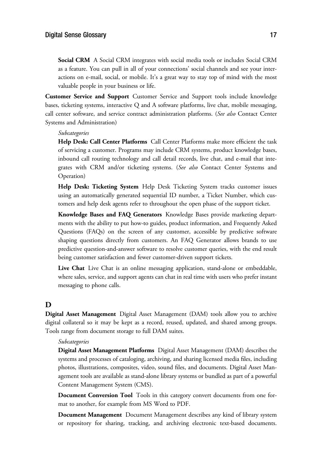**Social CRM** A Social CRM integrates with social media tools or includes Social CRM as a feature. You can pull in all of your connections' social channels and see your interactions on e-mail, social, or mobile. It's a great way to stay top of mind with the most valuable people in your business or life.

**Customer Service and Support** Customer Service and Support tools include knowledge bases, ticketing systems, interactive Q and A software platforms, live chat, mobile messaging, call center software, and service contract administration platforms. (*See also* Contact Center Systems and Administration)

*Subcategories* **Help Desk: Call Center Platforms** Call Center Platforms make more efficient the task of servicing a customer. Programs may include CRM systems, product knowledge bases, inbound call routing technology and call detail records, live chat, and e-mail that integrates with CRM and/or ticketing systems. (*See also* Contact Center Systems and Operation)

**Help Desk: Ticketing System** Help Desk Ticketing System tracks customer issues using an automatically generated sequential ID number, a Ticket Number, which customers and help desk agents refer to throughout the open phase of the support ticket.

**Knowledge Bases and FAQ Generators** Knowledge Bases provide marketing departments with the ability to put how-to guides, product information, and Frequently Asked Questions (FAQs) on the screen of any customer, accessible by predictive software shaping questions directly from customers. An FAQ Generator allows brands to use predictive question-and-answer software to resolve customer queries, with the end result being customer satisfaction and fewer customer-driven support tickets.

**Live Chat** Live Chat is an online messaging application, stand-alone or embeddable, where sales, service, and support agents can chat in real time with users who prefer instant messaging to phone calls.

## **D**

**Digital Asset Management** Digital Asset Management (DAM) tools allow you to archive digital collateral so it may be kept as a record, reused, updated, and shared among groups. Tools range from document storage to full DAM suites.

*Subcategories* **Digital Asset Management Platforms** Digital Asset Management (DAM) describes the systems and processes of cataloging, archiving, and sharing licensed media files, including photos, illustrations, composites, video, sound files, and documents. Digital Asset Management tools are available as stand-alone library systems or bundled as part of a powerful Content Management System (CMS).

**Document Conversion Tool** Tools in this category convert documents from one format to another, for example from MS Word to PDF.

**Document Management** Document Management describes any kind of library system or repository for sharing, tracking, and archiving electronic text-based documents.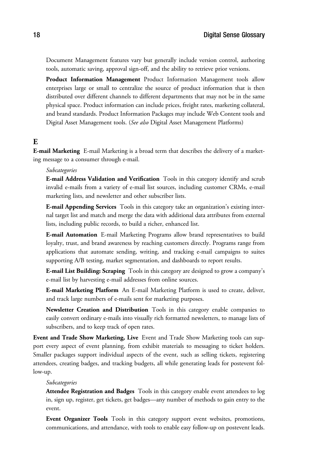Document Management features vary but generally include version control, authoring tools, automatic saving, approval sign-off, and the ability to retrieve prior versions.

**Product Information Management** Product Information Management tools allow enterprises large or small to centralize the source of product information that is then distributed over different channels to different departments that may not be in the same physical space. Product information can include prices, freight rates, marketing collateral, and brand standards. Product Information Packages may include Web Content tools and Digital Asset Management tools. (*See also* Digital Asset Management Platforms)

## **E**

**E-mail Marketing** E-mail Marketing is a broad term that describes the delivery of a marketing message to a consumer through e-mail.

*Subcategories* **E-mail Address Validation and Verification** Tools in this category identify and scrub invalid e-mails from a variety of e-mail list sources, including customer CRMs, e-mail marketing lists, and newsletter and other subscriber lists.

**E-mail Appending Services** Tools in this category take an organization's existing internal target list and match and merge the data with additional data attributes from external lists, including public records, to build a richer, enhanced list.

**E-mail Automation** E-mail Marketing Programs allow brand representatives to build loyalty, trust, and brand awareness by reaching customers directly. Programs range from applications that automate sending, writing, and tracking e-mail campaigns to suites supporting A/B testing, market segmentation, and dashboards to report results.

**E-mail List Building: Scraping** Tools in this category are designed to grow a company's e-mail list by harvesting e-mail addresses from online sources.

**E-mail Marketing Platform** An E-mail Marketing Platform is used to create, deliver, and track large numbers of e-mails sent for marketing purposes.

**Newsletter Creation and Distribution** Tools in this category enable companies to easily convert ordinary e-mails into visually rich formatted newsletters, to manage lists of subscribers, and to keep track of open rates.

**Event and Trade Show Marketing, Live** Event and Trade Show Marketing tools can support every aspect of event planning, from exhibit materials to messaging to ticket holders. Smaller packages support individual aspects of the event, such as selling tickets, registering attendees, creating badges, and tracking budgets, all while generating leads for postevent follow-up.

*Subcategories* **Attendee Registration and Badges** Tools in this category enable event attendees to log in, sign up, register, get tickets, get badges—any number of methods to gain entry to the event.

**Event Organizer Tools** Tools in this category support event websites, promotions, communications, and attendance, with tools to enable easy follow-up on postevent leads.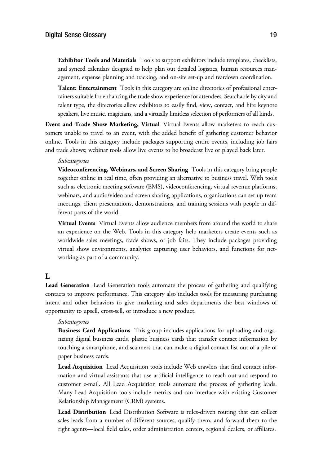**Exhibitor Tools and Materials** Tools to support exhibitors include templates, checklists, and synced calendars designed to help plan out detailed logistics, human resources management, expense planning and tracking, and on-site set-up and teardown coordination.

**Talent: Entertainment** Tools in this category are online directories of professional entertainers suitable for enhancing the trade show experience for attendees. Searchable by city and talent type, the directories allow exhibitors to easily find, view, contact, and hire keynote speakers, live music, magicians, and a virtually limitless selection of performers of all kinds.

**Event and Trade Show Marketing, Virtual** Virtual Events allow marketers to reach customers unable to travel to an event, with the added benefit of gathering customer behavior online. Tools in this category include packages supporting entire events, including job fairs and trade shows; webinar tools allow live events to be broadcast live or played back later.

*Subcategories* **Videoconferencing, Webinars, and Screen Sharing** Tools in this category bring people together online in real time, often providing an alternative to business travel. With tools such as electronic meeting software (EMS), videoconferencing, virtual revenue platforms, webinars, and audio/video and screen sharing applications, organizations can set up team meetings, client presentations, demonstrations, and training sessions with people in different parts of the world.

**Virtual Events** Virtual Events allow audience members from around the world to share an experience on the Web. Tools in this category help marketers create events such as worldwide sales meetings, trade shows, or job fairs. They include packages providing virtual show environments, analytics capturing user behaviors, and functions for networking as part of a community.

## **L**

**Lead Generation** Lead Generation tools automate the process of gathering and qualifying contacts to improve performance. This category also includes tools for measuring purchasing intent and other behaviors to give marketing and sales departments the best windows of opportunity to upsell, cross-sell, or introduce a new product.

*Subcategories* **Business Card Applications** This group includes applications for uploading and organizing digital business cards, plastic business cards that transfer contact information by touching a smartphone, and scanners that can make a digital contact list out of a pile of paper business cards.

**Lead Acquisition** Lead Acquisition tools include Web crawlers that find contact information and virtual assistants that use artificial intelligence to reach out and respond to customer e-mail. All Lead Acquisition tools automate the process of gathering leads. Many Lead Acquisition tools include metrics and can interface with existing Customer Relationship Management (CRM) systems.

**Lead Distribution** Lead Distribution Software is rules-driven routing that can collect sales leads from a number of different sources, qualify them, and forward them to the right agents—local field sales, order administration centers, regional dealers, or affiliates.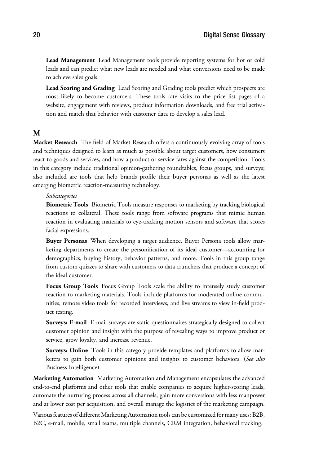**Lead Management** Lead Management tools provide reporting systems for hot or cold leads and can predict what new leads are needed and what conversions need to be made to achieve sales goals.

**Lead Scoring and Grading** Lead Scoring and Grading tools predict which prospects are most likely to become customers. These tools rate visits to the price list pages of a website, engagement with reviews, product information downloads, and free trial activation and match that behavior with customer data to develop a sales lead.

## **M**

**Market Research** The field of Market Research offers a continuously evolving array of tools and techniques designed to learn as much as possible about target customers, how consumers react to goods and services, and how a product or service fares against the competition. Tools in this category include traditional opinion-gathering roundtables, focus groups, and surveys; also included are tools that help brands profile their buyer personas as well as the latest emerging biometric reaction-measuring technology.

*Subcategories* **Biometric Tools** Biometric Tools measure responses to marketing by tracking biological reactions to collateral. These tools range from software programs that mimic human reaction in evaluating materials to eye-tracking motion sensors and software that scores facial expressions.

**Buyer Personas** When developing a target audience, Buyer Persona tools allow marketing departments to create the personification of its ideal customer—accounting for demographics, buying history, behavior patterns, and more. Tools in this group range from custom quizzes to share with customers to data crunchers that produce a concept of the ideal customer.

**Focus Group Tools** Focus Group Tools scale the ability to intensely study customer reaction to marketing materials. Tools include platforms for moderated online communities, remote video tools for recorded interviews, and live streams to view in-field product testing.

**Surveys: E-mail** E-mail surveys are static questionnaires strategically designed to collect customer opinion and insight with the purpose of revealing ways to improve product or service, grow loyalty, and increase revenue.

**Surveys: Online** Tools in this category provide templates and platforms to allow marketers to gain both customer opinions and insights to customer behaviors. (*See also* Business Intelligence)

**Marketing Automation** Marketing Automation and Management encapsulates the advanced end-to-end platforms and other tools that enable companies to acquire higher-scoring leads, automate the nurturing process across all channels, gain more conversions with less manpower and at lower cost per acquisition, and overall manage the logistics of the marketing campaign.

Various features of different Marketing Automation tools can be customized for many uses: B2B, B2C, e-mail, mobile, small teams, multiple channels, CRM integration, behavioral tracking,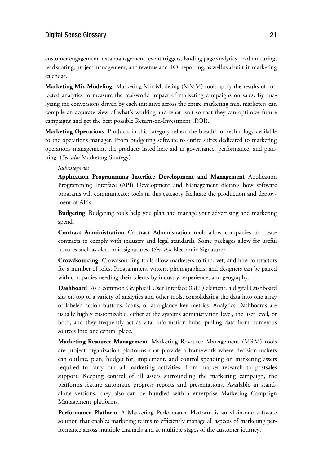## $J<sub>1</sub>$  and  $J<sub>2</sub>$  and  $J<sub>1</sub>$  and  $J<sub>2</sub>$

customer engagement, data management, event triggers, landing page analytics, lead nurturing, lead scoring, project management, and revenue and ROI reporting, as well as a built-in marketing calendar.

**Marketing Mix Modeling** Marketing Mix Modeling (MMM) tools apply the results of collected analytics to measure the real-world impact of marketing campaigns on sales. By analyzing the conversions driven by each initiative across the entire marketing mix, marketers can compile an accurate view of what's working and what isn't so that they can optimize future campaigns and get the best possible Return-on-Investment (ROI).

**Marketing Operations** Products in this category reflect the breadth of technology available to the operations manager. From budgeting software to entire suites dedicated to marketing operations management, the products listed here aid in governance, performance, and planning. (*See also* Marketing Strategy)

*Subcategories* **Application Programming Interface Development and Management** Application Programming Interface (API) Development and Management dictates how software programs will communicate; tools in this category facilitate the production and deployment of APIs.

**Budgeting** Budgeting tools help you plan and manage your advertising and marketing spend.

**Contract Administration** Contract Administration tools allow companies to create contracts to comply with industry and legal standards. Some packages allow for useful features such as electronic signatures. (*See also* Electronic Signature)

**Crowdsourcing** Crowdsourcing tools allow marketers to find, vet, and hire contractors for a number of roles. Programmers, writers, photographers, and designers can be paired with companies needing their talents by industry, experience, and geography.

**Dashboard** As a common Graphical User Interface (GUI) element, a digital Dashboard sits on top of a variety of analytics and other tools, consolidating the data into one array of labeled action buttons, icons, or at-a-glance key metrics. Analytics Dashboards are usually highly customizable, either at the systems administration level, the user level, or both, and they frequently act as vital information hubs, pulling data from numerous sources into one central place.

**Marketing Resource Management** Marketing Resource Management (MRM) tools are project organization platforms that provide a framework where decision-makers can outline, plan, budget for, implement, and control spending on marketing assets required to carry out all marketing activities, from market research to postsales support. Keeping control of all assets surrounding the marketing campaign, the platforms feature automatic progress reports and presentations. Available in standalone versions, they also can be bundled within enterprise Marketing Campaign Management platforms.

**Performance Platform** A Marketing Performance Platform is an all-in-one software solution that enables marketing teams to efficiently manage all aspects of marketing performance across multiple channels and at multiple stages of the customer journey.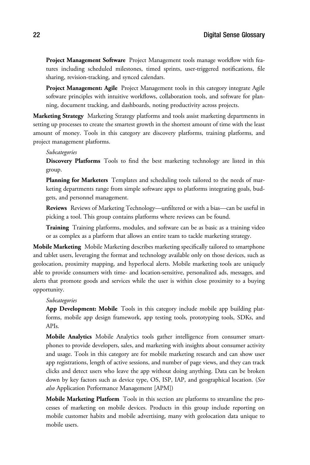**Project Management Software** Project Management tools manage workflow with features including scheduled milestones, timed sprints, user-triggered notifications, file sharing, revision-tracking, and synced calendars.

**Project Management: Agile** Project Management tools in this category integrate Agile software principles with intuitive workflows, collaboration tools, and software for planning, document tracking, and dashboards, noting productivity across projects.

**Marketing Strategy** Marketing Strategy platforms and tools assist marketing departments in setting up processes to create the smartest growth in the shortest amount of time with the least amount of money. Tools in this category are discovery platforms, training platforms, and project management platforms.

*Subcategories* **Discovery Platforms** Tools to find the best marketing technology are listed in this group.

**Planning for Marketers** Templates and scheduling tools tailored to the needs of marketing departments range from simple software apps to platforms integrating goals, budgets, and personnel management.

**Reviews** Reviews of Marketing Technology—unfiltered or with a bias—can be useful in picking a tool. This group contains platforms where reviews can be found.

**Training** Training platforms, modules, and software can be as basic as a training video or as complex as a platform that allows an entire team to tackle marketing strategy.

**Mobile Marketing** Mobile Marketing describes marketing specifically tailored to smartphone and tablet users, leveraging the format and technology available only on those devices, such as geolocation, proximity mapping, and hyperlocal alerts. Mobile marketing tools are uniquely able to provide consumers with time- and location-sensitive, personalized ads, messages, and alerts that promote goods and services while the user is within close proximity to a buying opportunity.

*Subcategories* **App Development: Mobile** Tools in this category include mobile app building platforms, mobile app design framework, app testing tools, prototyping tools, SDKs, and APIs.

**Mobile Analytics** Mobile Analytics tools gather intelligence from consumer smartphones to provide developers, sales, and marketing with insights about consumer activity and usage. Tools in this category are for mobile marketing research and can show user app registrations, length of active sessions, and number of page views, and they can track clicks and detect users who leave the app without doing anything. Data can be broken down by key factors such as device type, OS, ISP, IAP, and geographical location. (*See also* Application Performance Management [APM])

**Mobile Marketing Platform** Tools in this section are platforms to streamline the processes of marketing on mobile devices. Products in this group include reporting on mobile customer habits and mobile advertising, many with geolocation data unique to mobile users.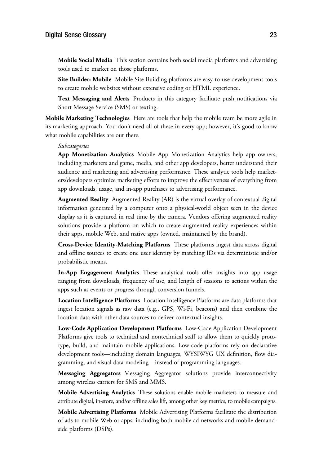**Mobile Social Media** This section contains both social media platforms and advertising tools used to market on those platforms.

**Site Builder: Mobile** Mobile Site Building platforms are easy-to-use development tools to create mobile websites without extensive coding or HTML experience.

**Text Messaging and Alerts** Products in this category facilitate push notifications via Short Message Service (SMS) or texting.

**Mobile Marketing Technologies** Here are tools that help the mobile team be more agile in its marketing approach. You don't need all of these in every app; however, it's good to know what mobile capabilities are out there.

*Subcategories* **App Monetization Analytics** Mobile App Monetization Analytics help app owners, including marketers and game, media, and other app developers, better understand their audience and marketing and advertising performance. These analytic tools help marketers/developers optimize marketing efforts to improve the effectiveness of everything from app downloads, usage, and in-app purchases to advertising performance.

**Augmented Reality** Augmented Reality (AR) is the virtual overlay of contextual digital information generated by a computer onto a physical-world object seen in the device display as it is captured in real time by the camera. Vendors offering augmented reality solutions provide a platform on which to create augmented reality experiences within their apps, mobile Web, and native apps (owned, maintained by the brand).

**Cross-Device Identity-Matching Platforms** These platforms ingest data across digital and offline sources to create one user identity by matching IDs via deterministic and/or probabilistic means.

**In-App Engagement Analytics** These analytical tools offer insights into app usage ranging from downloads, frequency of use, and length of sessions to actions within the apps such as events or progress through conversion funnels.

**Location Intelligence Platforms** Location Intelligence Platforms are data platforms that ingest location signals as raw data (e.g., GPS, Wi-Fi, beacons) and then combine the location data with other data sources to deliver contextual insights.

**Low-Code Application Development Platforms** Low-Code Application Development Platforms give tools to technical and nontechnical staff to allow them to quickly prototype, build, and maintain mobile applications. Low-code platforms rely on declarative development tools—including domain languages, WYSIWYG UX definition, flow diagramming, and visual data modeling—instead of programming languages.

**Messaging Aggregators** Messaging Aggregator solutions provide interconnectivity among wireless carriers for SMS and MMS.

**Mobile Advertising Analytics** These solutions enable mobile marketers to measure and attribute digital, in-store, and/or offline sales lift, among other key metrics, to mobile campaigns.

**Mobile Advertising Platforms** Mobile Advertising Platforms facilitate the distribution of ads to mobile Web or apps, including both mobile ad networks and mobile demandside platforms (DSPs).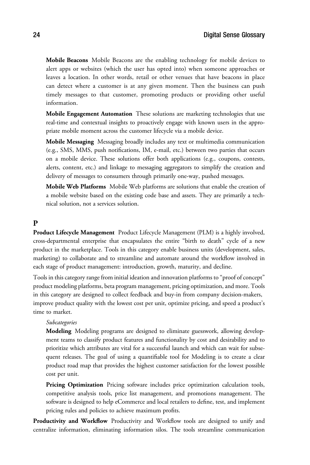**Mobile Beacons** Mobile Beacons are the enabling technology for mobile devices to alert apps or websites (which the user has opted into) when someone approaches or leaves a location. In other words, retail or other venues that have beacons in place can detect where a customer is at any given moment. Then the business can push timely messages to that customer, promoting products or providing other useful information.

**Mobile Engagement Automation** These solutions are marketing technologies that use real-time and contextual insights to proactively engage with known users in the appropriate mobile moment across the customer lifecycle via a mobile device.

**Mobile Messaging** Messaging broadly includes any text or multimedia communication (e.g., SMS, MMS, push notifications, IM, e-mail, etc.) between two parties that occurs on a mobile device. These solutions offer both applications (e.g., coupons, contests, alerts, content, etc.) and linkage to messaging aggregators to simplify the creation and delivery of messages to consumers through primarily one-way, pushed messages.

**Mobile Web Platforms** Mobile Web platforms are solutions that enable the creation of a mobile website based on the existing code base and assets. They are primarily a technical solution, not a services solution.

## **P**

**Product Lifecycle Management** Product Lifecycle Management (PLM) is a highly involved, cross-departmental enterprise that encapsulates the entire "birth to death" cycle of a new product in the marketplace. Tools in this category enable business units (development, sales, marketing) to collaborate and to streamline and automate around the workflow involved in each stage of product management: introduction, growth, maturity, and decline.

Tools in this category range from initial ideation and innovation platforms to "proof of concept" product modeling platforms, beta program management, pricing optimization, and more. Tools in this category are designed to collect feedback and buy-in from company decision-makers, improve product quality with the lowest cost per unit, optimize pricing, and speed a product's time to market.

*Subcategories* **Modeling** Modeling programs are designed to eliminate guesswork, allowing development teams to classify product features and functionality by cost and desirability and to prioritize which attributes are vital for a successful launch and which can wait for subsequent releases. The goal of using a quantifiable tool for Modeling is to create a clear product road map that provides the highest customer satisfaction for the lowest possible cost per unit.

Pricing Optimization Pricing software includes price optimization calculation tools, competitive analysis tools, price list management, and promotions management. The software is designed to help eCommerce and local retailers to define, test, and implement pricing rules and policies to achieve maximum profits.

**Productivity and Workflow** Productivity and Workflow tools are designed to unify and centralize information, eliminating information silos. The tools streamline communication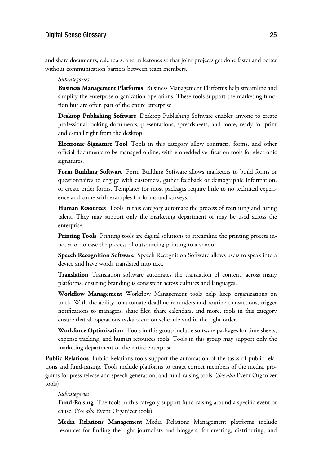## $J<sub>0</sub>$  and  $J<sub>1</sub>$  and  $J<sub>2</sub>$  and  $J<sub>3</sub>$  and  $J<sub>4</sub>$  and  $J<sub>5</sub>$  and  $J<sub>6</sub>$  and  $J<sub>7</sub>$  and  $J<sub>8</sub>$  and  $J<sub>9</sub>$  and  $J<sub>9</sub>$  and  $J<sub>9</sub>$  and  $J<sub>9</sub>$  and  $J<sub>9</sub>$  and  $J<sub>9</sub>$

and share documents, calendars, and milestones so that joint projects get done faster and better without communication barriers between team members.

*Subcategories* **Business Management Platforms** Business Management Platforms help streamline and simplify the enterprise organization operations. These tools support the marketing function but are often part of the entire enterprise.

**Desktop Publishing Software** Desktop Publishing Software enables anyone to create professional-looking documents, presentations, spreadsheets, and more, ready for print and e-mail right from the desktop.

**Electronic Signature Tool** Tools in this category allow contracts, forms, and other official documents to be managed online, with embedded verification tools for electronic signatures.

**Form Building Software** Form Building Software allows marketers to build forms or questionnaires to engage with customers, gather feedback or demographic information, or create order forms. Templates for most packages require little to no technical experience and come with examples for forms and surveys.

**Human Resources** Tools in this category automate the process of recruiting and hiring talent. They may support only the marketing department or may be used across the enterprise.

**Printing Tools** Printing tools are digital solutions to streamline the printing process inhouse or to ease the process of outsourcing printing to a vendor.

**Speech Recognition Software** Speech Recognition Software allows users to speak into a device and have words translated into text.

**Translation** Translation software automates the translation of content, across many platforms, ensuring branding is consistent across cultures and languages.

**Workflow Management** Workflow Management tools help keep organizations on track. With the ability to automate deadline reminders and routine transactions, trigger notifications to managers, share files, share calendars, and more, tools in this category ensure that all operations tasks occur on schedule and in the right order.

**Workforce Optimization** Tools in this group include software packages for time sheets, expense tracking, and human resources tools. Tools in this group may support only the marketing department or the entire enterprise.

**Public Relations** Public Relations tools support the automation of the tasks of public relations and fund-raising. Tools include platforms to target correct members of the media, programs for press release and speech generation, and fund-raising tools. (*See also* Event Organizer tools)

*Subcategories* **Fund-Raising** The tools in this category support fund-raising around a specific event or cause. (*See also* Event Organizer tools)

**Media Relations Management** Media Relations Management platforms include resources for finding the right journalists and bloggers; for creating, distributing, and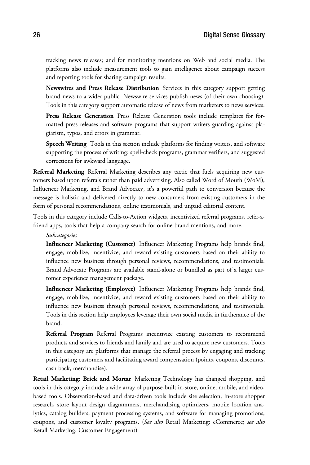tracking news releases; and for monitoring mentions on Web and social media. The platforms also include measurement tools to gain intelligence about campaign success and reporting tools for sharing campaign results.

**Newswires and Press Release Distribution** Services in this category support getting brand news to a wider public. Newswire services publish news (of their own choosing). Tools in this category support automatic release of news from marketers to news services.

**Press Release Generation** Press Release Generation tools include templates for formatted press releases and software programs that support writers guarding against plagiarism, typos, and errors in grammar.

**Speech Writing** Tools in this section include platforms for finding writers, and software supporting the process of writing: spell-check programs, grammar verifiers, and suggested corrections for awkward language.

**Referral Marketing** Referral Marketing describes any tactic that fuels acquiring new customers based upon referrals rather than paid advertising. Also called Word of Mouth (WoM), Influencer Marketing, and Brand Advocacy, it's a powerful path to conversion because the message is holistic and delivered directly to new consumers from existing customers in the form of personal recommendations, online testimonials, and unpaid editorial content.

Tools in this category include Calls-to-Action widgets, incentivized referral programs, refer-afriend apps, tools that help a company search for online brand mentions, and more.

*Subcategories* **Influencer Marketing (Customer)** Influencer Marketing Programs help brands find, engage, mobilize, incentivize, and reward existing customers based on their ability to influence new business through personal reviews, recommendations, and testimonials. Brand Advocate Programs are available stand-alone or bundled as part of a larger customer experience management package.

**Influencer Marketing (Employee)** Influencer Marketing Programs help brands find, engage, mobilize, incentivize, and reward existing customers based on their ability to influence new business through personal reviews, recommendations, and testimonials. Tools in this section help employees leverage their own social media in furtherance of the brand.

**Referral Program** Referral Programs incentivize existing customers to recommend products and services to friends and family and are used to acquire new customers. Tools in this category are platforms that manage the referral process by engaging and tracking participating customers and facilitating award compensation (points, coupons, discounts, cash back, merchandise).

**Retail Marketing: Brick and Mortar** Marketing Technology has changed shopping, and tools in this category include a wide array of purpose-built in-store, online, mobile, and videobased tools. Observation-based and data-driven tools include site selection, in-store shopper research, store layout design diagrammers, merchandising optimizers, mobile location analytics, catalog builders, payment processing systems, and software for managing promotions, coupons, and customer loyalty programs. (*See also* Retail Marketing: eCommerce; *see also* Retail Marketing: Customer Engagement)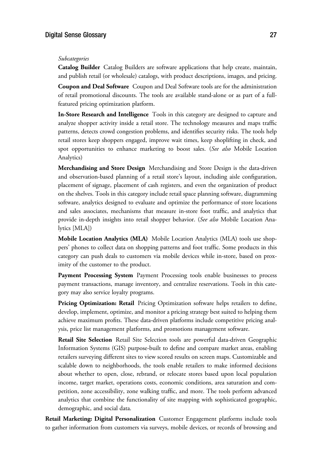*Subcategories* **Catalog Builder** Catalog Builders are software applications that help create, maintain, and publish retail (or wholesale) catalogs, with product descriptions, images, and pricing.

**Coupon and Deal Software** Coupon and Deal Software tools are for the administration of retail promotional discounts. The tools are available stand-alone or as part of a fullfeatured pricing optimization platform.

**In-Store Research and Intelligence** Tools in this category are designed to capture and analyze shopper activity inside a retail store. The technology measures and maps traffic patterns, detects crowd congestion problems, and identifies security risks. The tools help retail stores keep shoppers engaged, improve wait times, keep shoplifting in check, and spot opportunities to enhance marketing to boost sales. (*See also* Mobile Location Analytics)

**Merchandising and Store Design** Merchandising and Store Design is the data-driven and observation-based planning of a retail store's layout, including aisle configuration, placement of signage, placement of cash registers, and even the organization of product on the shelves. Tools in this category include retail space planning software, diagramming software, analytics designed to evaluate and optimize the performance of store locations and sales associates, mechanisms that measure in-store foot traffic, and analytics that provide in-depth insights into retail shopper behavior. (*See also* Mobile Location Analytics [MLA])

**Mobile Location Analytics (MLA)** Mobile Location Analytics (MLA) tools use shoppers' phones to collect data on shopping patterns and foot traffic. Some products in this category can push deals to customers via mobile devices while in-store, based on proximity of the customer to the product.

**Payment Processing System** Payment Processing tools enable businesses to process payment transactions, manage inventory, and centralize reservations. Tools in this category may also service loyalty programs.

**Pricing Optimization: Retail** Pricing Optimization software helps retailers to define, develop, implement, optimize, and monitor a pricing strategy best suited to helping them achieve maximum profits. These data-driven platforms include competitive pricing analysis, price list management platforms, and promotions management software.

**Retail Site Selection** Retail Site Selection tools are powerful data-driven Geographic Information Systems (GIS) purpose-built to define and compare market areas, enabling retailers surveying different sites to view scored results on screen maps. Customizable and scalable down to neighborhoods, the tools enable retailers to make informed decisions about whether to open, close, rebrand, or relocate stores based upon local population income, target market, operations costs, economic conditions, area saturation and competition, zone accessibility, zone walking traffic, and more. The tools perform advanced analytics that combine the functionality of site mapping with sophisticated geographic, demographic, and social data.

**Retail Marketing: Digital Personalization** Customer Engagement platforms include tools to gather information from customers via surveys, mobile devices, or records of browsing and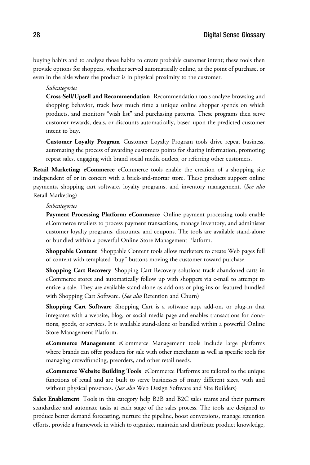buying habits and to analyze those habits to create probable customer intent; these tools then provide options for shoppers, whether served automatically online, at the point of purchase, or even in the aisle where the product is in physical proximity to the customer.

*Subcategories* **Cross-Sell/Upsell and Recommendation** Recommendation tools analyze browsing and shopping behavior, track how much time a unique online shopper spends on which products, and monitors "wish list" and purchasing patterns. These programs then serve customer rewards, deals, or discounts automatically, based upon the predicted customer intent to buy.

**Customer Loyalty Program** Customer Loyalty Program tools drive repeat business, automating the process of awarding customers points for sharing information, promoting repeat sales, engaging with brand social media outlets, or referring other customers.

**Retail Marketing: eCommerce** eCommerce tools enable the creation of a shopping site independent of or in concert with a brick-and-mortar store. These products support online payments, shopping cart software, loyalty programs, and inventory management. (*See also* Retail Marketing)

*Subcategories* **Payment Processing Platform: eCommerce** Online payment processing tools enable eCommerce retailers to process payment transactions, manage inventory, and administer customer loyalty programs, discounts, and coupons. The tools are available stand-alone or bundled within a powerful Online Store Management Platform.

**Shoppable Content** Shoppable Content tools allow marketers to create Web pages full of content with templated "buy" buttons moving the customer toward purchase.

**Shopping Cart Recovery** Shopping Cart Recovery solutions track abandoned carts in eCommerce stores and automatically follow up with shoppers via e-mail to attempt to entice a sale. They are available stand-alone as add-ons or plug-ins or featured bundled with Shopping Cart Software. (*See also* Retention and Churn)

**Shopping Cart Software** Shopping Cart is a software app, add-on, or plug-in that integrates with a website, blog, or social media page and enables transactions for donations, goods, or services. It is available stand-alone or bundled within a powerful Online Store Management Platform.

**eCommerce Management** eCommerce Management tools include large platforms where brands can offer products for sale with other merchants as well as specific tools for managing crowdfunding, preorders, and other retail needs.

**eCommerce Website Building Tools** eCommerce Platforms are tailored to the unique functions of retail and are built to serve businesses of many different sizes, with and without physical presences. (*See also* Web Design Software and Site Builders)

**Sales Enablement** Tools in this category help B2B and B2C sales teams and their partners standardize and automate tasks at each stage of the sales process. The tools are designed to produce better demand forecasting, nurture the pipeline, boost conversions, manage retention efforts, provide a framework in which to organize, maintain and distribute product knowledge,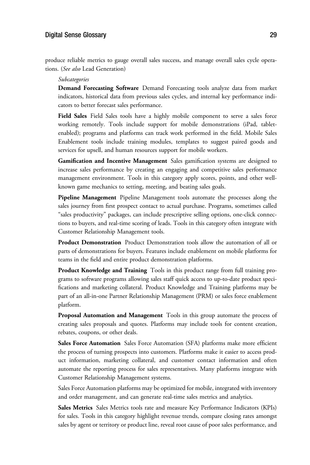## $J<sub>2</sub>$  and  $J<sub>2</sub>$  and  $J<sub>2</sub>$  and  $J<sub>2</sub>$  and  $J<sub>2</sub>$  and  $J<sub>2</sub>$  and  $J<sub>2</sub>$  and  $J<sub>2</sub>$  and  $J<sub>2</sub>$  and  $J<sub>2</sub>$  and  $J<sub>2</sub>$  and  $J<sub>2</sub>$  and  $J<sub>2</sub>$  and  $J<sub>2</sub>$  and  $J<sub>2</sub>$

produce reliable metrics to gauge overall sales success, and manage overall sales cycle operations. (*See also* Lead Generation)

*Subcategories* **Demand Forecasting Software** Demand Forecasting tools analyze data from market indicators, historical data from previous sales cycles, and internal key performance indicators to better forecast sales performance.

**Field Sales** Field Sales tools have a highly mobile component to serve a sales force working remotely. Tools include support for mobile demonstrations (iPad, tabletenabled); programs and platforms can track work performed in the field. Mobile Sales Enablement tools include training modules, templates to suggest paired goods and services for upsell, and human resources support for mobile workers.

Gamification and Incentive Management Sales gamification systems are designed to increase sales performance by creating an engaging and competitive sales performance management environment. Tools in this category apply scores, points, and other wellknown game mechanics to setting, meeting, and beating sales goals.

**Pipeline Management** Pipeline Management tools automate the processes along the sales journey from first prospect contact to actual purchase. Programs, sometimes called "sales productivity" packages, can include prescriptive selling options, one-click connections to buyers, and real-time scoring of leads. Tools in this category often integrate with Customer Relationship Management tools.

**Product Demonstration** Product Demonstration tools allow the automation of all or parts of demonstrations for buyers. Features include enablement on mobile platforms for teams in the field and entire product demonstration platforms.

**Product Knowledge and Training** Tools in this product range from full training programs to software programs allowing sales staff quick access to up-to-date product specifications and marketing collateral. Product Knowledge and Training platforms may be part of an all-in-one Partner Relationship Management (PRM) or sales force enablement platform.

**Proposal Automation and Management** Tools in this group automate the process of creating sales proposals and quotes. Platforms may include tools for content creation, rebates, coupons, or other deals.

**Sales Force Automation** Sales Force Automation (SFA) platforms make more efficient the process of turning prospects into customers. Platforms make it easier to access product information, marketing collateral, and customer contact information and often automate the reporting process for sales representatives. Many platforms integrate with Customer Relationship Management systems.

Sales Force Automation platforms may be optimized for mobile, integrated with inventory and order management, and can generate real-time sales metrics and analytics.

**Sales Metrics** Sales Metrics tools rate and measure Key Performance Indicators (KPIs) for sales. Tools in this category highlight revenue trends, compare closing rates amongst sales by agent or territory or product line, reveal root cause of poor sales performance, and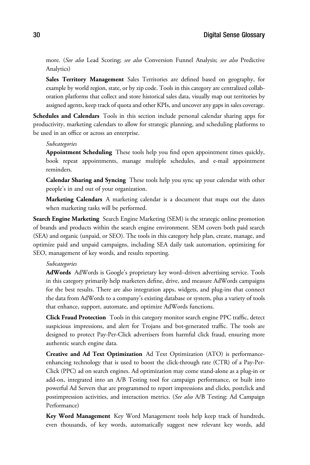more. (*See also* Lead Scoring; *see also* Conversion Funnel Analysis; *see also* Predictive Analytics)

**Sales Territory Management** Sales Territories are defined based on geography, for example by world region, state, or by zip code. Tools in this category are centralized collaboration platforms that collect and store historical sales data, visually map out territories by assigned agents, keep track of quota and other KPIs, and uncover any gaps in sales coverage.

**Schedules and Calendars** Tools in this section include personal calendar sharing apps for productivity, marketing calendars to allow for strategic planning, and scheduling platforms to be used in an office or across an enterprise.

*Subcategories* **Appointment Scheduling** These tools help you find open appointment times quickly, book repeat appointments, manage multiple schedules, and e-mail appointment reminders.

**Calendar Sharing and Syncing** These tools help you sync up your calendar with other people's in and out of your organization.

**Marketing Calendars** A marketing calendar is a document that maps out the dates when marketing tasks will be performed.

**Search Engine Marketing** Search Engine Marketing (SEM) is the strategic online promotion of brands and products within the search engine environment. SEM covers both paid search (SEA) and organic (unpaid, or SEO). The tools in this category help plan, create, manage, and optimize paid and unpaid campaigns, including SEA daily task automation, optimizing for SEO, management of key words, and results reporting.

*Subcategories* **AdWords** AdWords is Google's proprietary key word–driven advertising service. Tools in this category primarily help marketers define, drive, and measure AdWords campaigns for the best results. There are also integration apps, widgets, and plug-ins that connect the data from AdWords to a company's existing database or system, plus a variety of tools that enhance, support, automate, and optimize AdWords functions.

**Click Fraud Protection** Tools in this category monitor search engine PPC traffic, detect suspicious impressions, and alert for Trojans and bot-generated traffic. The tools are designed to protect Pay-Per-Click advertisers from harmful click fraud, ensuring more authentic search engine data.

**Creative and Ad Text Optimization** Ad Text Optimization (ATO) is performanceenhancing technology that is used to boost the click-through rate (CTR) of a Pay-Per-Click (PPC) ad on search engines. Ad optimization may come stand-alone as a plug-in or add-on, integrated into an A/B Testing tool for campaign performance, or built into powerful Ad Servers that are programmed to report impressions and clicks, postclick and postimpression activities, and interaction metrics. (*See also* A/B Testing: Ad Campaign Performance)

**Key Word Management** Key Word Management tools help keep track of hundreds, even thousands, of key words, automatically suggest new relevant key words, add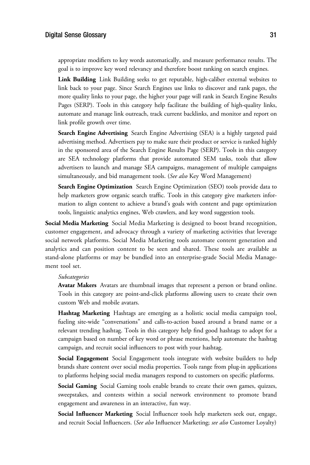appropriate modifiers to key words automatically, and measure performance results. The goal is to improve key word relevancy and therefore boost ranking on search engines.

**Link Building** Link Building seeks to get reputable, high-caliber external websites to link back to your page. Since Search Engines use links to discover and rank pages, the more quality links to your page, the higher your page will rank in Search Engine Results Pages (SERP). Tools in this category help facilitate the building of high-quality links, automate and manage link outreach, track current backlinks, and monitor and report on link profile growth over time.

**Search Engine Advertising** Search Engine Advertising (SEA) is a highly targeted paid advertising method. Advertisers pay to make sure their product or service is ranked highly in the sponsored area of the Search Engine Results Page (SERP). Tools in this category are SEA technology platforms that provide automated SEM tasks, tools that allow advertisers to launch and manage SEA campaigns, management of multiple campaigns simultaneously, and bid management tools. (*See also* Key Word Management)

**Search Engine Optimization** Search Engine Optimization (SEO) tools provide data to help marketers grow organic search traffic. Tools in this category give marketers information to align content to achieve a brand's goals with content and page optimization tools, linguistic analytics engines, Web crawlers, and key word suggestion tools.

**Social Media Marketing** Social Media Marketing is designed to boost brand recognition, customer engagement, and advocacy through a variety of marketing activities that leverage social network platforms. Social Media Marketing tools automate content generation and analytics and can position content to be seen and shared. These tools are available as stand-alone platforms or may be bundled into an enterprise-grade Social Media Management tool set.

*Subcategories* **Avatar Makers** Avatars are thumbnail images that represent a person or brand online. Tools in this category are point-and-click platforms allowing users to create their own custom Web and mobile avatars.

**Hashtag Marketing** Hashtags are emerging as a holistic social media campaign tool, fueling site-wide "conversations" and calls-to-action based around a brand name or a relevant trending hashtag. Tools in this category help find good hashtags to adopt for a campaign based on number of key word or phrase mentions, help automate the hashtag campaign, and recruit social influencers to post with your hashtag.

**Social Engagement** Social Engagement tools integrate with website builders to help brands share content over social media properties. Tools range from plug-in applications to platforms helping social media managers respond to customers on specific platforms.

**Social Gaming** Social Gaming tools enable brands to create their own games, quizzes, sweepstakes, and contests within a social network environment to promote brand engagement and awareness in an interactive, fun way.

**Social Influencer Marketing** Social Influencer tools help marketers seek out, engage, and recruit Social Influencers. (*See also* Influencer Marketing; *see also* Customer Loyalty)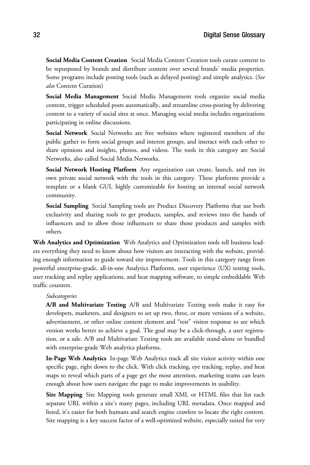**Social Media Content Creation** Social Media Content Creation tools curate content to be repurposed by brands and distribute content over several brands' media properties. Some programs include posting tools (such as delayed posting) and simple analytics. (*See also* Content Curation)

**Social Media Management** Social Media Management tools organize social media content, trigger scheduled posts automatically, and streamline cross-posting by delivering content to a variety of social sites at once. Managing social media includes organizations participating in online discussions.

**Social Network** Social Networks are free websites where registered members of the public gather to form social groups and interest groups, and interact with each other to share opinions and insights, photos, and videos. The tools in this category are Social Networks, also called Social Media Networks.

**Social Network Hosting Platform** Any organization can create, launch, and run its own private social network with the tools in this category. These platforms provide a template or a blank GUI, highly customizable for hosting an internal social network community.

**Social Sampling** Social Sampling tools are Product Discovery Platforms that use both exclusivity and sharing tools to get products, samples, and reviews into the hands of influencers and to allow those influencers to share those products and samples with others.

**Web Analytics and Optimization** Web Analytics and Optimization tools tell business leaders everything they need to know about how visitors are interacting with the website, providing enough information to guide toward site improvement. Tools in this category range from powerful enterprise-grade, all-in-one Analytics Platforms, user experience (UX) testing tools, user tracking and replay applications, and heat mapping software, to simple embeddable Web traffic counters.

*Subcategories* **A/B and Multivariate Testing** A/B and Multivariate Testing tools make it easy for developers, marketers, and designers to set up two, three, or more versions of a website, advertisement, or other online content element and "test" visitor response to see which version works better to achieve a goal. The goal may be a click-through, a user registration, or a sale. A/B and Multivariate Testing tools are available stand-alone or bundled with enterprise-grade Web analytics platforms.

**In-Page Web Analytics** In-page Web Analytics track all site visitor activity within one specific page, right down to the click. With click tracking, eye tracking, replay, and heat maps to reveal which parts of a page get the most attention, marketing teams can learn enough about how users navigate the page to make improvements in usability.

**Site Mapping** Site Mapping tools generate small XML or HTML files that list each separate URL within a site's many pages, including URL metadata. Once mapped and listed, it's easier for both humans and search engine crawlers to locate the right content. Site mapping is a key success factor of a well-optimized website, especially suited for very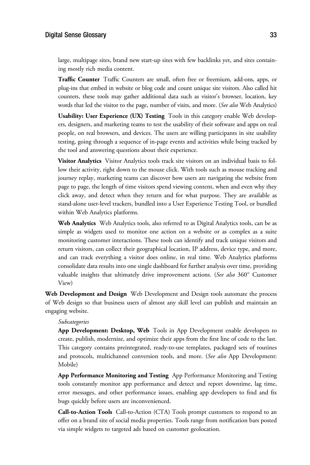## $J<sub>0</sub>$  and  $J<sub>1</sub>$  and  $J<sub>2</sub>$  and  $J<sub>3</sub>$  and  $J<sub>4</sub>$  and  $J<sub>5</sub>$  and  $J<sub>6</sub>$  and  $J<sub>7</sub>$  and  $J<sub>8</sub>$  and  $J<sub>9</sub>$  and  $J<sub>9</sub>$  and  $J<sub>9</sub>$  and  $J<sub>9</sub>$  and  $J<sub>9</sub>$  and  $J<sub>9</sub>$

large, multipage sites, brand new start-up sites with few backlinks yet, and sites containing mostly rich media content.

**Traffic Counter** Traffic Counters are small, often free or freemium, add-ons, apps, or plug-ins that embed in website or blog code and count unique site visitors. Also called hit counters, these tools may gather additional data such as visitor's browser, location, key words that led the visitor to the page, number of visits, and more. (*See also* Web Analytics)

**Usability: User Experience (UX) Testing** Tools in this category enable Web developers, designers, and marketing teams to test the usability of their software and apps on real people, on real browsers, and devices. The users are willing participants in site usability testing, going through a sequence of in-page events and activities while being tracked by the tool and answering questions about their experience.

**Visitor Analytics** Visitor Analytics tools track site visitors on an individual basis to follow their activity, right down to the mouse click. With tools such as mouse tracking and journey replay, marketing teams can discover how users are navigating the website from page to page, the length of time visitors spend viewing content, when and even why they click away, and detect when they return and for what purpose. They are available as stand-alone user-level trackers, bundled into a User Experience Testing Tool, or bundled within Web Analytics platforms.

**Web Analytics** Web Analytics tools, also referred to as Digital Analytics tools, can be as simple as widgets used to monitor one action on a website or as complex as a suite monitoring customer interactions. These tools can identify and track unique visitors and return visitors, can collect their geographical location, IP address, device type, and more, and can track everything a visitor does online, in real time. Web Analytics platforms consolidate data results into one single dashboard for further analysis over time, providing valuable insights that ultimately drive improvement actions. (*See also* <sup>360</sup>° Customer View)

**Web Development and Design** Web Development and Design tools automate the process of Web design so that business users of almost any skill level can publish and maintain an engaging website.

*Subcategories* **App Development: Desktop, Web** Tools in App Development enable developers to create, publish, modernize, and optimize their apps from the first line of code to the last. This category contains preintegrated, ready-to-use templates, packaged sets of routines and protocols, multichannel conversion tools, and more. (*See also* App Development: Mobile)

**App Performance Monitoring and Testing** App Performance Monitoring and Testing tools constantly monitor app performance and detect and report downtime, lag time, error messages, and other performance issues, enabling app developers to find and fix bugs quickly before users are inconvenienced.

**Call-to-Action Tools** Call-to-Action (CTA) Tools prompt customers to respond to an offer on a brand site of social media properties. Tools range from notification bars posted via simple widgets to targeted ads based on customer geolocation.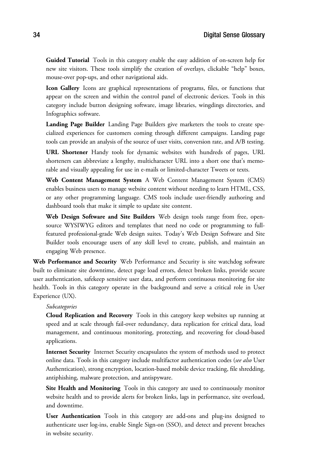**Guided Tutorial** Tools in this category enable the easy addition of on-screen help for new site visitors. These tools simplify the creation of overlays, clickable "help" boxes, mouse-over pop-ups, and other navigational aids.

**Icon Gallery** Icons are graphical representations of programs, files, or functions that appear on the screen and within the control panel of electronic devices. Tools in this category include button designing software, image libraries, wingdings directories, and Infographics software.

**Landing Page Builder** Landing Page Builders give marketers the tools to create specialized experiences for customers coming through different campaigns. Landing page tools can provide an analysis of the source of user visits, conversion rate, and A/B testing.

**URL Shortener** Handy tools for dynamic websites with hundreds of pages, URL shorteners can abbreviate a lengthy, multicharacter URL into a short one that's memorable and visually appealing for use in e-mails or limited-character Tweets or texts.

**Web Content Management System** A Web Content Management System (CMS) enables business users to manage website content without needing to learn HTML, CSS, or any other programming language. CMS tools include user-friendly authoring and dashboard tools that make it simple to update site content.

**Web Design Software and Site Builders** Web design tools range from free, opensource WYSIWYG editors and templates that need no code or programming to fullfeatured professional-grade Web design suites. Today's Web Design Software and Site Builder tools encourage users of any skill level to create, publish, and maintain an engaging Web presence.

**Web Performance and Security** Web Performance and Security is site watchdog software built to eliminate site downtime, detect page load errors, detect broken links, provide secure user authentication, safekeep sensitive user data, and perform continuous monitoring for site health. Tools in this category operate in the background and serve a critical role in User Experience (UX).

*Subcategories* **Cloud Replication and Recovery** Tools in this category keep websites up running at speed and at scale through fail-over redundancy, data replication for critical data, load management, and continuous monitoring, protecting, and recovering for cloud-based applications.

**Internet Security** Internet Security encapsulates the system of methods used to protect online data. Tools in this category include multifactor authentication codes (*see also* User Authentication), strong encryption, location-based mobile device tracking, file shredding, antiphishing, malware protection, and antispyware.

**Site Health and Monitoring** Tools in this category are used to continuously monitor website health and to provide alerts for broken links, lags in performance, site overload, and downtime.

**User Authentication** Tools in this category are add-ons and plug-ins designed to authenticate user log-ins, enable Single Sign-on (SSO), and detect and prevent breaches in website security.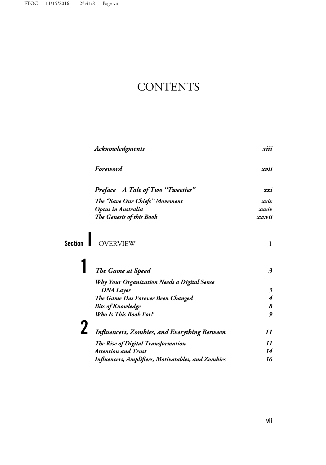## **CONTENTS**

| xiii                       |
|----------------------------|
| xvii                       |
| xxi                        |
| xxix                       |
| xxxiv                      |
| xxxvii                     |
| 1                          |
| $\boldsymbol{\beta}$       |
|                            |
| 3                          |
| 4                          |
| 8                          |
| 9                          |
| 11                         |
| $\boldsymbol{\mathit{11}}$ |
| 14                         |
| 16                         |
|                            |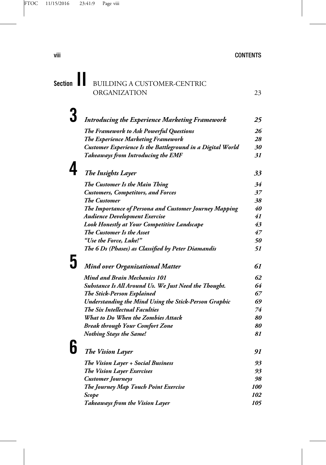| Section BUILDING A CUSTOMER-CENTRIC |  |
|-------------------------------------|--|
| ORGANIZATION                        |  |

| <b>Introducing the Experience Marketing Framework</b>      | 25        |
|------------------------------------------------------------|-----------|
| The Framework to Ask Powerful Questions                    | 26        |
| <b>The Experience Marketing Framework</b>                  | 28        |
| Customer Experience Is the Battleground in a Digital World | 30        |
| Takeaways from Introducing the EMF                         | 31        |
| The Insights Layer                                         | 33        |
| The Customer Is the Main Thing                             | 34        |
| <b>Customers, Competitors, and Forces</b>                  | 37        |
| <b>The Customer</b>                                        | 38        |
| The Importance of Persona and Customer Journey Mapping     | <i>40</i> |
| <b>Audience Development Exercise</b>                       | 41        |
| <b>Look Honestly at Your Competitive Landscape</b>         | 43        |
| The Customer Is the Asset                                  | 47        |
|                                                            |           |

## 5 *Mind over Organizational Matter 61 Mind and Brain Mechanics 101 62 Substance Is All Around Us. We Just Need the Thought. 64 The Stick-Person Explained 67 Understanding the Mind Using the Stick-Person Graphic 69 The Six Intellectual Faculties 74 What to Do When the Zombies Attack 80 Break through Your Comfort Zone 80 Nothing Stays the Same! 81*

*"Use the Force, Luke!" 50 The 6 Ds (Phases) as Classified by Peter Diamandis 51*

| 91                |
|-------------------|
| 93                |
| 93                |
| 98                |
| <i><b>100</b></i> |
| 102               |
| 105               |
|                   |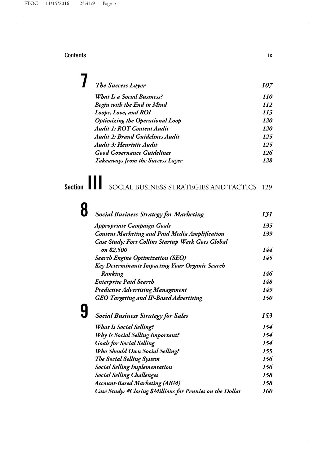|  | <b>The Success Layer</b>               | 107 |
|--|----------------------------------------|-----|
|  | What Is a Social Business?             | 110 |
|  | Begin with the End in Mind             | 112 |
|  | Loops, Love, and ROI                   | 115 |
|  | <b>Optimizing the Operational Loop</b> | 120 |
|  | <b>Audit 1: ROT Content Audit</b>      | 120 |
|  | <b>Audit 2: Brand Guidelines Audit</b> | 125 |
|  | Audit 3: Heuristic Audit               | 125 |
|  | <b>Good Governance Guidelines</b>      | 126 |
|  | Takeaways from the Success Layer       | 128 |

Section  $\prod$  SOCIAL BUSINESS STRATEGIES AND TACTICS 129

| <b>Social Business Strategy for Marketing</b>             | 131 |
|-----------------------------------------------------------|-----|
| Appropriate Campaign Goals                                | 135 |
| <b>Content Marketing and Paid Media Amplification</b>     | 139 |
| Case Study: Fort Collins Startup Week Goes Global         |     |
| on \$2,500                                                | 144 |
| <b>Search Engine Optimization (SEO)</b>                   | 145 |
| Key Determinants Impacting Your Organic Search            |     |
| Ranking                                                   | 146 |
| <b>Enterprise Paid Search</b>                             | 148 |
| <b>Predictive Advertising Management</b>                  | 149 |
| <b>GEO Targeting and IP-Based Advertising</b>             | 150 |
| <b>Social Business Strategy for Sales</b>                 | 153 |
| <b>What Is Social Selling?</b>                            | 154 |
| <b>Why Is Social Selling Important?</b>                   | 154 |
| <b>Goals for Social Selling</b>                           | 154 |
| <b>Who Should Own Social Selling?</b>                     | 155 |
| The Social Selling System                                 | 156 |
| <b>Social Selling Implementation</b>                      | 156 |
| <b>Social Selling Challenges</b>                          | 158 |
| <b>Account-Based Marketing (ABM)</b>                      | 158 |
| Case Study: #Closing \$Millions for Pennies on the Dollar | 160 |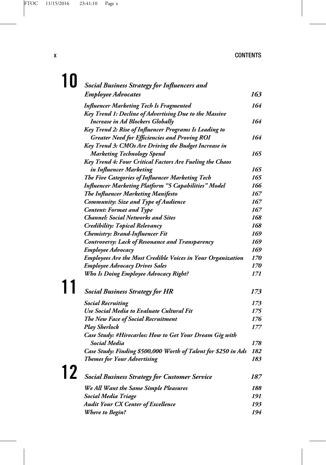|    | <b>Social Business Strategy for Influencers and</b>                |     |
|----|--------------------------------------------------------------------|-----|
|    | <b>Employee Advocates</b>                                          | 163 |
|    | <b>Influencer Marketing Tech Is Fragmented</b>                     | 164 |
|    | Key Trend 1: Decline of Advertising Due to the Massive             |     |
|    | <b>Increase in Ad Blockers Globally</b>                            | 164 |
|    | Key Trend 2: Rise of Influencer Programs Is Leading to             |     |
|    | <b>Greater Need for Efficiencies and Proving ROI</b>               | 164 |
|    | Key Trend 3: CMOs Are Driving the Budget Increase in               |     |
|    | <b>Marketing Technology Spend</b>                                  | 165 |
|    | <b>Key Trend 4: Four Critical Factors Are Fueling the Chaos</b>    |     |
|    | in Influencer Marketing                                            | 165 |
|    | <b>The Five Categories of Influencer Marketing Tech</b>            | 165 |
|    | <b>Influencer Marketing Platform "5 Capabilities" Model</b>        | 166 |
|    | <b>The Influencer Marketing Manifesto</b>                          | 167 |
|    | <b>Community: Size and Type of Audience</b>                        | 167 |
|    | <b>Content: Format and Type</b>                                    | 167 |
|    | <b>Channel: Social Networks and Sites</b>                          | 168 |
|    | <b>Credibility: Topical Relevancy</b>                              | 168 |
|    | <b>Chemistry: Brand-Influencer Fit</b>                             | 169 |
|    | <b>Controversy: Lack of Resonance and Transparency</b>             | 169 |
|    | Employee Advocacy                                                  | 169 |
|    | <b>Employees Are the Most Credible Voices in Your Organization</b> | 170 |
|    | <b>Employee Advocacy Drives Sales</b>                              | 170 |
|    | <b>Who Is Doing Employee Advocacy Right?</b>                       | 171 |
|    |                                                                    |     |
|    | <b>Social Business Strategy for HR</b>                             | 173 |
|    | <b>Social Recruiting</b>                                           | 173 |
|    | Use Social Media to Evaluate Cultural Fit                          | 175 |
|    | <b>The New Face of Social Recruitment</b>                          | 176 |
|    | <b>Play Sherlock</b>                                               | 177 |
|    | Case Study: #Hirecarlos: How to Get Your Dream Gig with            |     |
|    | <b>Social Media</b>                                                | 178 |
|    | Case Study: Finding \$500,000 Worth of Talent for \$250 in Ads     | 182 |
|    | <b>Themes for Your Advertising</b>                                 | 183 |
| 12 | <b>Social Business Strategy for Customer Service</b>               | 187 |
|    | We All Want the Same Simple Pleasures                              | 188 |
|    | <b>Social Media Triage</b>                                         | 191 |
|    | <b>Audit Your CX Center of Excellence</b>                          | 193 |
|    | <b>Where to Begin?</b>                                             | 194 |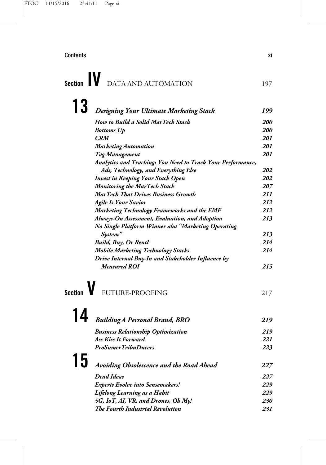# Section **IV** DATA AND AUTOMATION 197

| 13             |                                                                    |            |
|----------------|--------------------------------------------------------------------|------------|
|                | Designing Your Ultimate Marketing Stack                            | 199        |
|                | <b>How to Build a Solid MarTech Stack</b>                          | <i>200</i> |
|                | <b>Bottoms Up</b>                                                  | <i>200</i> |
|                | <b>CRM</b>                                                         | <i>201</i> |
|                | <b>Marketing Automation</b>                                        | 201        |
|                | Tag Management                                                     | 201        |
|                | Analytics and Tracking: You Need to Track Your Performance,        |            |
|                | Ads, Technology, and Everything Else                               | 202        |
|                | <b>Invest in Keeping Your Stack Open</b>                           | 202        |
|                | <b>Monitoring the MarTech Stack</b>                                | 207        |
|                | <b>MarTech That Drives Business Growth</b>                         | 211        |
|                | <b>Agile Is Your Savior</b>                                        | 212        |
|                | <b>Marketing Technology Frameworks and the EMF</b>                 | 212        |
|                | Always-On Assessment, Evaluation, and Adoption                     | 213        |
|                | No Single Platform Winner aka "Marketing Operating                 |            |
|                | System"                                                            | 213        |
|                | <b>Build, Buy, Or Rent?</b>                                        | 214        |
|                | <b>Mobile Marketing Technology Stacks</b>                          | 214        |
|                | Drive Internal Buy-In and Stakeholder Influence by<br>Measured ROI | 215        |
| <b>Section</b> | FUTURE-PROOFING                                                    | 217        |
| 14             | <b>Building A Personal Brand, BRO</b>                              | 219        |
|                | <b>Business Relationship Optimization</b>                          | 219        |
|                | <b>Ass Kiss It Forward</b>                                         | 221        |
|                | <b>ProSumerTribuDucers</b>                                         | 223        |
| 15             | Avoiding Obsolescence and the Road Ahead                           | 227        |
|                | <b>Dead Ideas</b>                                                  | 227        |
|                | <b>Experts Evolve into Sensemakers!</b>                            | 229        |
|                | Lifelong Learning as a Habit                                       | 229        |
|                | 5G, IoT, AI, VR, and Drones, Oh My!                                | 230        |

*The Fourth Industrial Revolution 231*